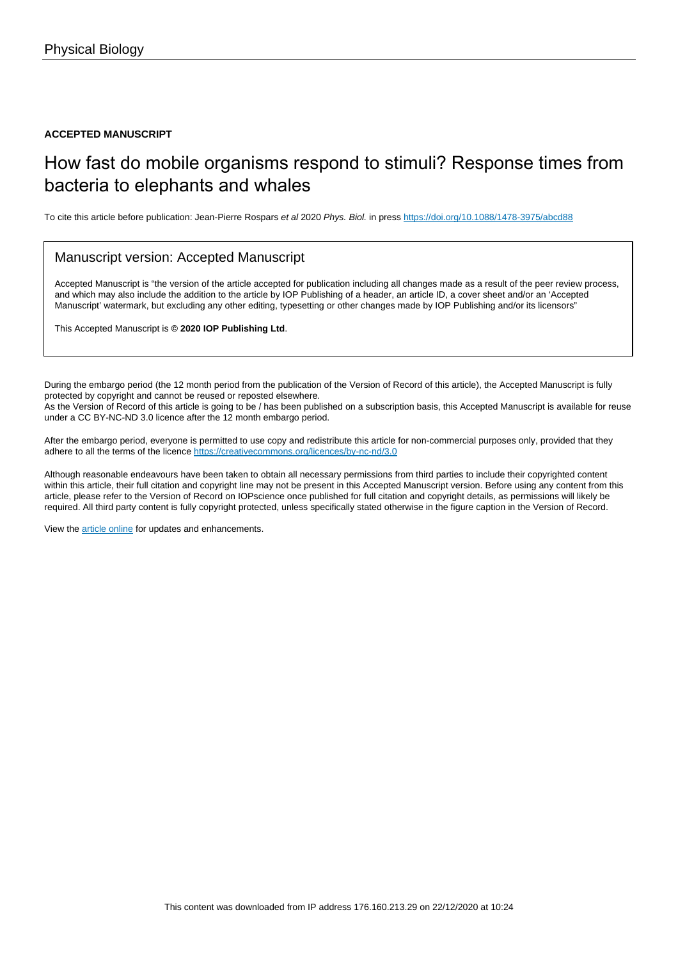#### **ACCEPTED MANUSCRIPT**

# How fast do mobile organisms respond to stimuli? Response times from bacteria to elephants and whales

To cite this article before publication: Jean-Pierre Rospars et al 2020 Phys. Biol. in press <https://doi.org/10.1088/1478-3975/abcd88>

#### Manuscript version: Accepted Manuscript

Accepted Manuscript is "the version of the article accepted for publication including all changes made as a result of the peer review process, and which may also include the addition to the article by IOP Publishing of a header, an article ID, a cover sheet and/or an 'Accepted Manuscript' watermark, but excluding any other editing, typesetting or other changes made by IOP Publishing and/or its licensors"

This Accepted Manuscript is **© 2020 IOP Publishing Ltd**.

During the embargo period (the 12 month period from the publication of the Version of Record of this article), the Accepted Manuscript is fully protected by copyright and cannot be reused or reposted elsewhere. As the Version of Record of this article is going to be / has been published on a subscription basis, this Accepted Manuscript is available for reuse under a CC BY-NC-ND 3.0 licence after the 12 month embargo period.

After the embargo period, everyone is permitted to use copy and redistribute this article for non-commercial purposes only, provided that they adhere to all the terms of the licence <https://creativecommons.org/licences/by-nc-nd/3.0>

Although reasonable endeavours have been taken to obtain all necessary permissions from third parties to include their copyrighted content within this article, their full citation and copyright line may not be present in this Accepted Manuscript version. Before using any content from this article, please refer to the Version of Record on IOPscience once published for full citation and copyright details, as permissions will likely be required. All third party content is fully copyright protected, unless specifically stated otherwise in the figure caption in the Version of Record.

View the [article online](https://doi.org/10.1088/1478-3975/abcd88) for updates and enhancements.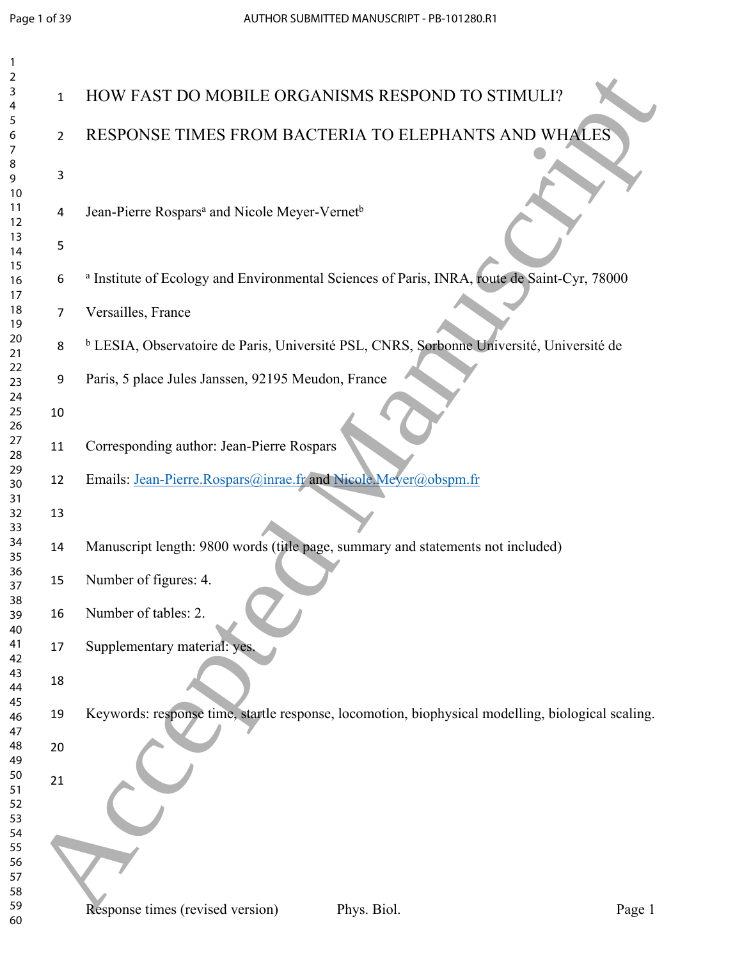| 2              |                |                                                                                                        |
|----------------|----------------|--------------------------------------------------------------------------------------------------------|
| 3<br>4         | 1              | HOW FAST DO MOBILE ORGANISMS RESPOND TO STIMULI?                                                       |
| 5<br>6<br>7    | $\overline{2}$ | RESPONSE TIMES FROM BACTERIA TO ELEPHANTS AND WHALES                                                   |
| 8<br>9<br>10   | 3              |                                                                                                        |
| 11<br>12       | 4              | Jean-Pierre Rospars <sup>a</sup> and Nicole Meyer-Vernet <sup>b</sup>                                  |
| 13<br>14<br>15 | 5              |                                                                                                        |
| 16<br>17       | 6              | <sup>a</sup> Institute of Ecology and Environmental Sciences of Paris, INRA, route de Saint-Cyr, 78000 |
| 18<br>19       | 7              | Versailles, France                                                                                     |
| 20<br>21<br>22 | 8              | <sup>b</sup> LESIA, Observatoire de Paris, Université PSL, CNRS, Sorbonne Université, Université de    |
| 23<br>24       | 9              | Paris, 5 place Jules Janssen, 92195 Meudon, France                                                     |
| 25<br>26<br>27 | 10             |                                                                                                        |
| 28<br>29       | 11             | Corresponding author: Jean-Pierre Rospars                                                              |
| 30<br>31       | 12             | Emails: Jean-Pierre.Rospars@inrae.fr and Nicole.Meyer@obspm.fr                                         |
| 32<br>33<br>34 | 13             |                                                                                                        |
| 35<br>36       | 14             | Manuscript length: 9800 words (title page, summary and statements not included)                        |
| 37<br>38       | 15             | Number of figures: 4.                                                                                  |
| 39<br>40<br>41 | 16             | Number of tables: 2.                                                                                   |
| 42<br>43       | 17             | Supplementary material: yes.                                                                           |
| 44<br>45       | 18<br>19       | Keywords: response time, startle response, locomotion, biophysical modelling, biological scaling.      |
| 46<br>47<br>48 | 20             |                                                                                                        |
| 49<br>50       | 21             |                                                                                                        |
| 51<br>52       |                |                                                                                                        |
| 53<br>54<br>55 |                |                                                                                                        |
| 56<br>57       |                |                                                                                                        |
| 58<br>59<br>60 |                | Response times (revised version)<br>Phys. Biol.<br>Page 1                                              |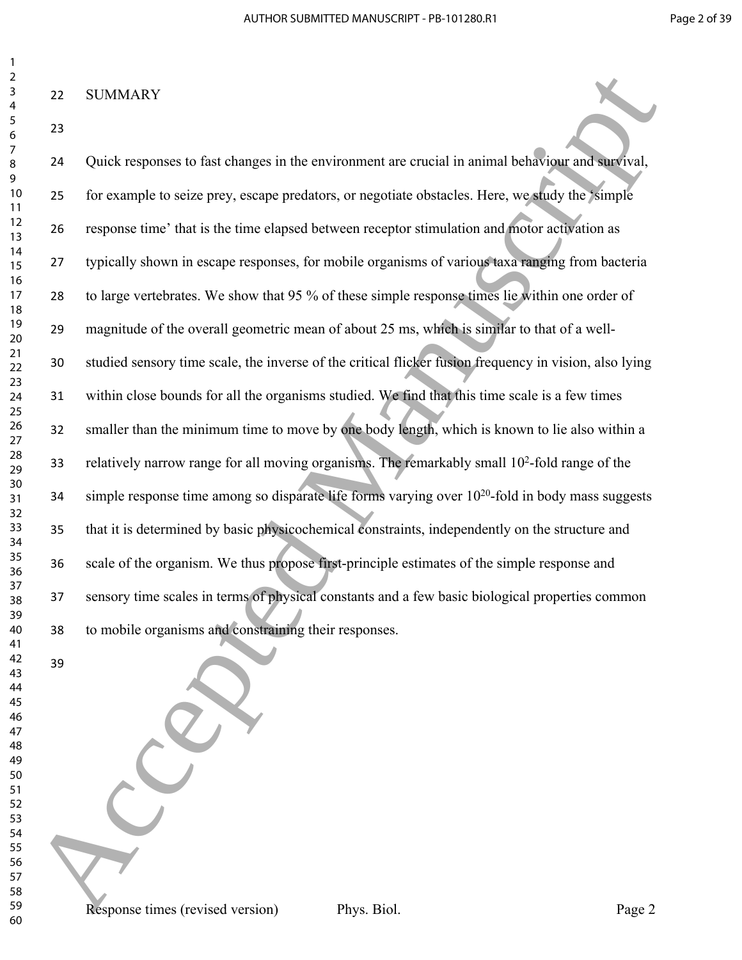### SUMMARY

 

 Quick responses to fast changes in the environment are crucial in animal behaviour and survival, for example to seize prey, escape predators, or negotiate obstacles. Here, we study the 'simple response time' that is the time elapsed between receptor stimulation and motor activation as typically shown in escape responses, for mobile organisms of various taxa ranging from bacteria to large vertebrates. We show that 95 % of these simple response times lie within one order of magnitude of the overall geometric mean of about 25 ms, which is similar to that of a well- studied sensory time scale, the inverse of the critical flicker fusion frequency in vision, also lying within close bounds for all the organisms studied. We find that this time scale is a few times smaller than the minimum time to move by one body length, which is known to lie also within a 33 relatively narrow range for all moving organisms. The remarkably small 10<sup>2</sup>-fold range of the simple response time among so disparate life forms varying over  $10^{20}$ -fold in body mass suggests that it is determined by basic physicochemical constraints, independently on the structure and scale of the organism. We thus propose first-principle estimates of the simple response and sensory time scales in terms of physical constants and a few basic biological properties common to mobile organisms and constraining their responses. 22 SUMMARY<br>
23 ACCEPT (in example to strict plane, so in the environment are emission in animal behaviour and subseted<br>
23 ACCEPT (in example to strict plane, some predictions, or responsive induced is there, we shall a s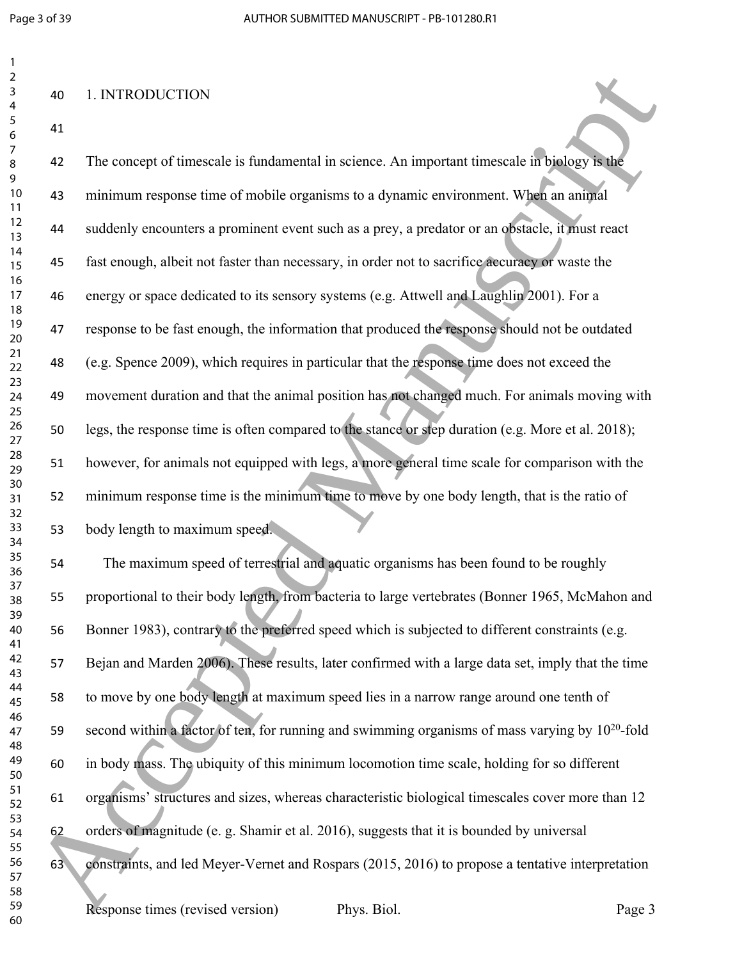$\overline{2}$ 

| 3                                         |
|-------------------------------------------|
| 4                                         |
| 5                                         |
| 6                                         |
|                                           |
| 8                                         |
|                                           |
| $\mathbf$<br>)                            |
| 10                                        |
| 1<br>1                                    |
| $\mathbf{1}$<br>$\overline{2}$            |
| $\overline{1}$<br>3                       |
| $\overline{14}$                           |
| 15                                        |
| 16                                        |
| 1                                         |
| 18                                        |
| 19                                        |
| 20                                        |
| $\overline{21}$                           |
| $\overline{2}$<br>$\overline{a}$          |
| 23                                        |
| 4<br>C                                    |
| 25                                        |
| 26                                        |
| $^{27}$                                   |
| 28                                        |
| 29                                        |
| 30                                        |
| $\overline{\textbf{3}}$                   |
| $\overline{\mathbf{3}}$<br>$\overline{2}$ |
| $\overline{\mathbf{3}}$<br>ξ              |
| 3.<br>4                                   |
| 35                                        |
| 36                                        |
| 37                                        |
| 38                                        |
| 39                                        |
| 40                                        |
| 41                                        |
| <sup>)</sup>                              |
| 4<br>43                                   |
| 44                                        |
|                                           |
| 45                                        |
| 46                                        |
| 47                                        |
| 48                                        |
| 49                                        |
| 50                                        |
| 51                                        |
| 5<br><sup>)</sup>                         |
| 5:<br>ξ                                   |
| 54                                        |
| 55                                        |
| 56                                        |
| 57                                        |
| 58                                        |
| 59                                        |

## 1. INTRODUCTION

 The concept of timescale is fundamental in science. An important timescale in biology is the minimum response time of mobile organisms to a dynamic environment. When an animal suddenly encounters a prominent event such as a prey, a predator or an obstacle, it must react fast enough, albeit not faster than necessary, in order not to sacrifice accuracy or waste the energy or space dedicated to its sensory systems (e.g. Attwell and Laughlin 2001). For a response to be fast enough, the information that produced the response should not be outdated (e.g. Spence 2009), which requires in particular that the response time does not exceed the movement duration and that the animal position has not changed much. For animals moving with legs, the response time is often compared to the stance or step duration (e.g. More et al. 2018); however, for animals not equipped with legs, a more general time scale for comparison with the minimum response time is the minimum time to move by one body length, that is the ratio of body length to maximum speed. 24<br>
12 Accepted Manuscript is a since An imputate timescale in the same<br>
12 The correspondent measure is fundamental in science. An imputant timescale in bigges<br>
12 The correspondent measurement whose angular strength mea

 The maximum speed of terrestrial and aquatic organisms has been found to be roughly proportional to their body length, from bacteria to large vertebrates (Bonner 1965, McMahon and Bonner 1983), contrary to the preferred speed which is subjected to different constraints (e.g. Bejan and Marden 2006). These results, later confirmed with a large data set, imply that the time to move by one body length at maximum speed lies in a narrow range around one tenth of 59 second within a factor of ten, for running and swimming organisms of mass varying by  $10^{20}$ -fold in body mass. The ubiquity of this minimum locomotion time scale, holding for so different organisms' structures and sizes, whereas characteristic biological timescales cover more than 12 orders of magnitude (e. g. Shamir et al. 2016), suggests that it is bounded by universal constraints, and led Meyer-Vernet and Rospars (2015, 2016) to propose a tentative interpretation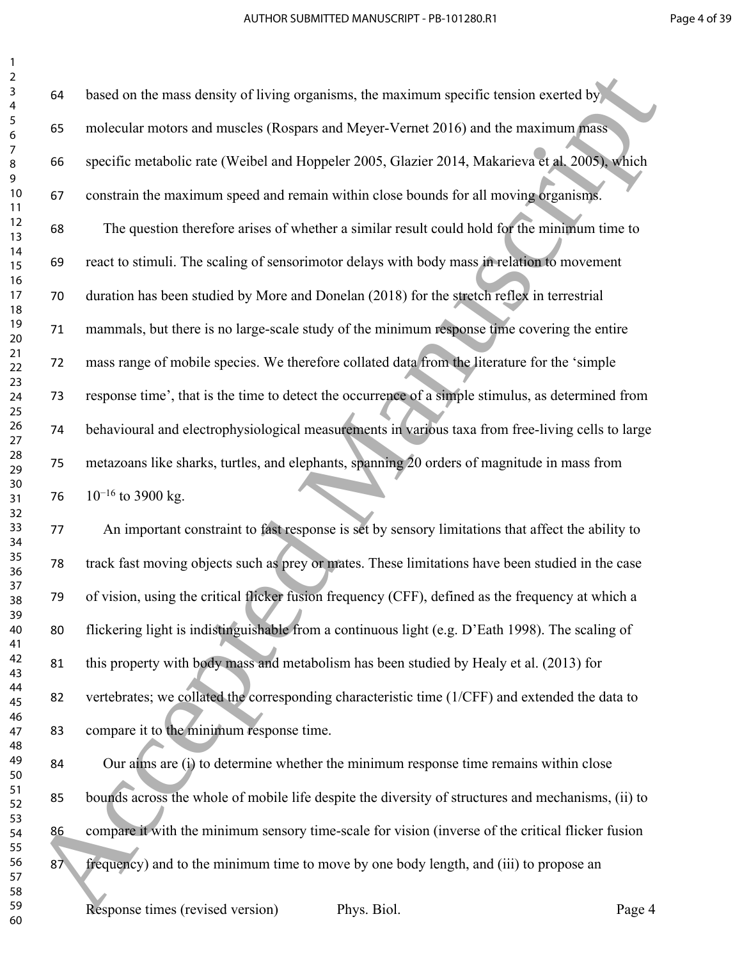based on the mass density of living organisms, the maximum specific tension exerted by molecular motors and muscles (Rospars and Meyer-Vernet 2016) and the maximum mass specific metabolic rate (Weibel and Hoppeler 2005, Glazier 2014, Makarieva et al. 2005), which constrain the maximum speed and remain within close bounds for all moving organisms. The question therefore arises of whether a similar result could hold for the minimum time to react to stimuli. The scaling of sensorimotor delays with body mass in relation to movement duration has been studied by More and Donelan (2018) for the stretch reflex in terrestrial mammals, but there is no large-scale study of the minimum response time covering the entire mass range of mobile species. We therefore collated data from the literature for the 'simple response time', that is the time to detect the occurrence of a simple stimulus, as determined from behavioural and electrophysiological measurements in various taxa from free-living cells to large metazoans like sharks, turtles, and elephants, spanning 20 orders of magnitude in mass from 76 10<sup>-16</sup> to 3900 kg. 66<br>
6 Accepted Ward in the mass density of biving organisms, the maximum apertific tension exerted by<br>
6 GG specific metabolic rate (Weihel and Hoppele 2005, Glazie 2014 Makariana change<br>
6 GG specific metabolic rate (Wei

 An important constraint to fast response is set by sensory limitations that affect the ability to track fast moving objects such as prey or mates. These limitations have been studied in the case of vision, using the critical flicker fusion frequency (CFF), defined as the frequency at which a flickering light is indistinguishable from a continuous light (e.g. D'Eath 1998). The scaling of this property with body mass and metabolism has been studied by Healy et al. (2013) for vertebrates; we collated the corresponding characteristic time (1/CFF) and extended the data to compare it to the minimum response time.

 Our aims are (i) to determine whether the minimum response time remains within close bounds across the whole of mobile life despite the diversity of structures and mechanisms, (ii) to compare it with the minimum sensory time-scale for vision (inverse of the critical flicker fusion 87 frequency) and to the minimum time to move by one body length, and (iii) to propose an

Response times (revised version) Phys. Biol. Page 4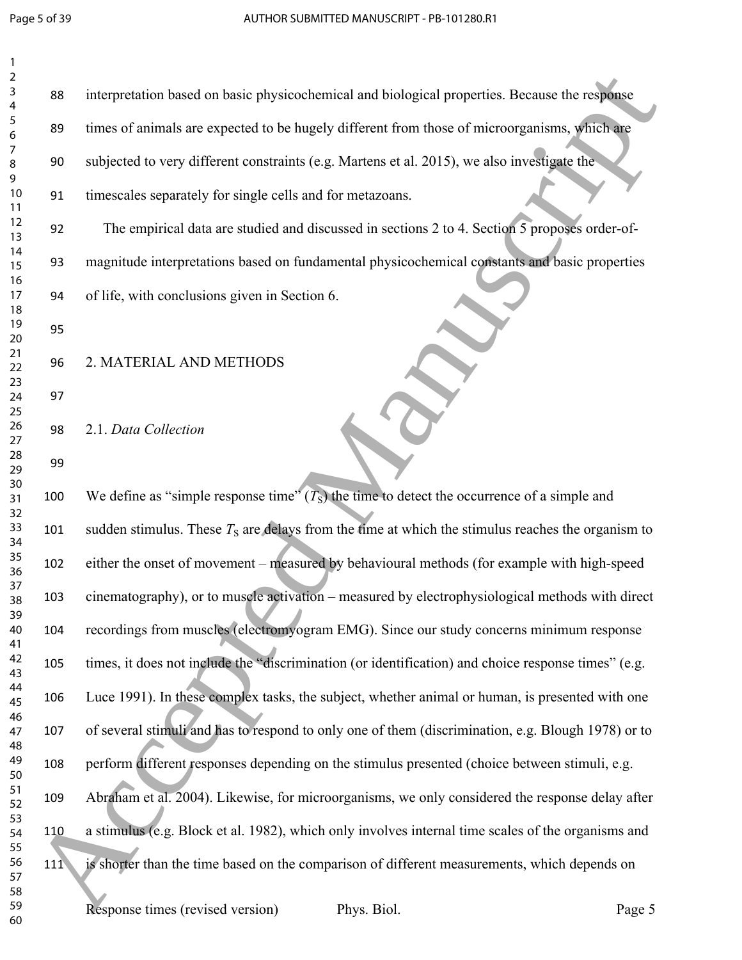| 1<br>2         |     |                                                                                                     |
|----------------|-----|-----------------------------------------------------------------------------------------------------|
| 3<br>4         | 88  | interpretation based on basic physicochemical and biological properties. Because the response       |
| 5<br>6         | 89  | times of animals are expected to be hugely different from those of microorganisms, which are        |
| 7<br>8<br>9    | 90  | subjected to very different constraints (e.g. Martens et al. 2015), we also investigate the         |
| 10<br>11       | 91  | timescales separately for single cells and for metazoans.                                           |
| 12<br>13       | 92  | The empirical data are studied and discussed in sections 2 to 4. Section 5 proposes order-of-       |
| 14<br>15       | 93  | magnitude interpretations based on fundamental physicochemical constants and basic properties       |
| 16<br>17<br>18 | 94  | of life, with conclusions given in Section 6.                                                       |
| 19<br>20       | 95  |                                                                                                     |
| 21<br>22       | 96  | 2. MATERIAL AND METHODS                                                                             |
| 23<br>24       | 97  |                                                                                                     |
| 25<br>26<br>27 | 98  | 2.1. Data Collection                                                                                |
| 28<br>29       | 99  |                                                                                                     |
| 30<br>31       | 100 | We define as "simple response time" $(TS)$ the time to detect the occurrence of a simple and        |
| 32<br>33<br>34 | 101 | sudden stimulus. These $T_s$ are delays from the time at which the stimulus reaches the organism to |
| 35<br>36       | 102 | either the onset of movement – measured by behavioural methods (for example with high-speed         |
| 37<br>38       | 103 | cinematography), or to muscle activation – measured by electrophysiological methods with direct     |
| 39<br>40<br>41 | 104 | recordings from muscles (electromyogram EMG). Since our study concerns minimum response             |
| 42<br>43       | 105 | times, it does not include the "discrimination (or identification) and choice response times" (e.g. |
| 44<br>45       | 106 | Luce 1991). In these complex tasks, the subject, whether animal or human, is presented with one     |
| 46<br>47       | 107 | of several stimuli and has to respond to only one of them (discrimination, e.g. Blough 1978) or to  |
| 48<br>49<br>50 | 108 | perform different responses depending on the stimulus presented (choice between stimuli, e.g.       |
| 51<br>52       | 109 | Abraham et al. 2004). Likewise, for microorganisms, we only considered the response delay after     |
| 53<br>54       | 110 | a stimulus (e.g. Block et al. 1982), which only involves internal time scales of the organisms and  |
| 55<br>56<br>57 | 111 | is shorter than the time based on the comparison of different measurements, which depends on        |
| 58<br>59       |     | Response times (revised version)<br>Phys. Biol.<br>Page 5                                           |
| 60             |     |                                                                                                     |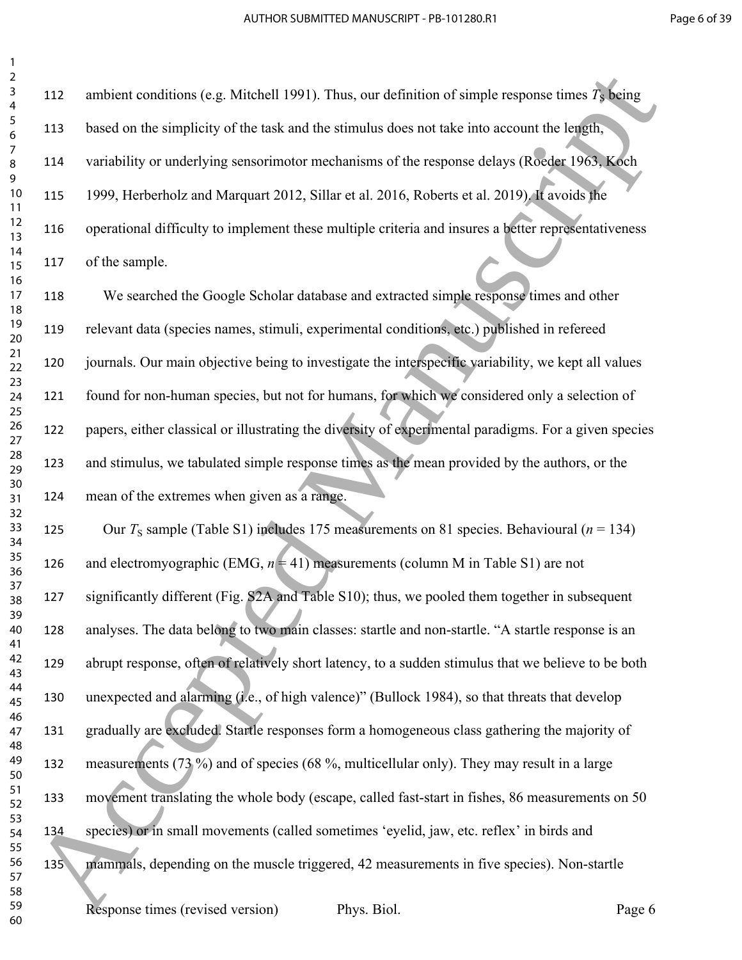112 ambient conditions (e.g. Mitchell 1991). Thus, our definition of simple response times  $T<sub>s</sub>$  being based on the simplicity of the task and the stimulus does not take into account the length, variability or underlying sensorimotor mechanisms of the response delays (Roeder 1963, Koch 1999, Herberholz and Marquart 2012, Sillar et al. 2016, Roberts et al. 2019). It avoids the operational difficulty to implement these multiple criteria and insures a better representativeness of the sample.

 We searched the Google Scholar database and extracted simple response times and other relevant data (species names, stimuli, experimental conditions, etc.) published in refereed journals. Our main objective being to investigate the interspecific variability, we kept all values found for non-human species, but not for humans, for which we considered only a selection of papers, either classical or illustrating the diversity of experimental paradigms. For a given species and stimulus, we tabulated simple response times as the mean provided by the authors, or the mean of the extremes when given as a range.

125 Our  $T_s$  sample (Table S1) includes 175 measurements on 81 species. Behavioural ( $n = 134$ ) 126 and electromyographic (EMG,  $n = 41$ ) measurements (column M in Table S1) are not 127 significantly different (Fig. S2A and Table S10); thus, we pooled them together in subsequent analyses. The data belong to two main classes: startle and non-startle. "A startle response is an abrupt response, often of relatively short latency, to a sudden stimulus that we believe to be both unexpected and alarming (i.e., of high valence)" (Bullock 1984), so that threats that develop gradually are excluded. Startle responses form a homogeneous class gathering the majority of measurements (73 %) and of species (68 %, multicellular only). They may result in a large movement translating the whole body (escape, called fast-start in fishes, 86 measurements on 50 species) or in small movements (called sometimes 'eyelid, jaw, etc. reflex' in birds and mammals, depending on the muscle triggered, 42 measurements in five species). Non-startle 2112 ambient conditions (e.g. Mathell 1991). Thus, condeminion of simple response limes 78 km<br>
23112 shoed on the simplicity of the lask and the stimulas does not lake into accumulate last political<br>
23114 socialisty or u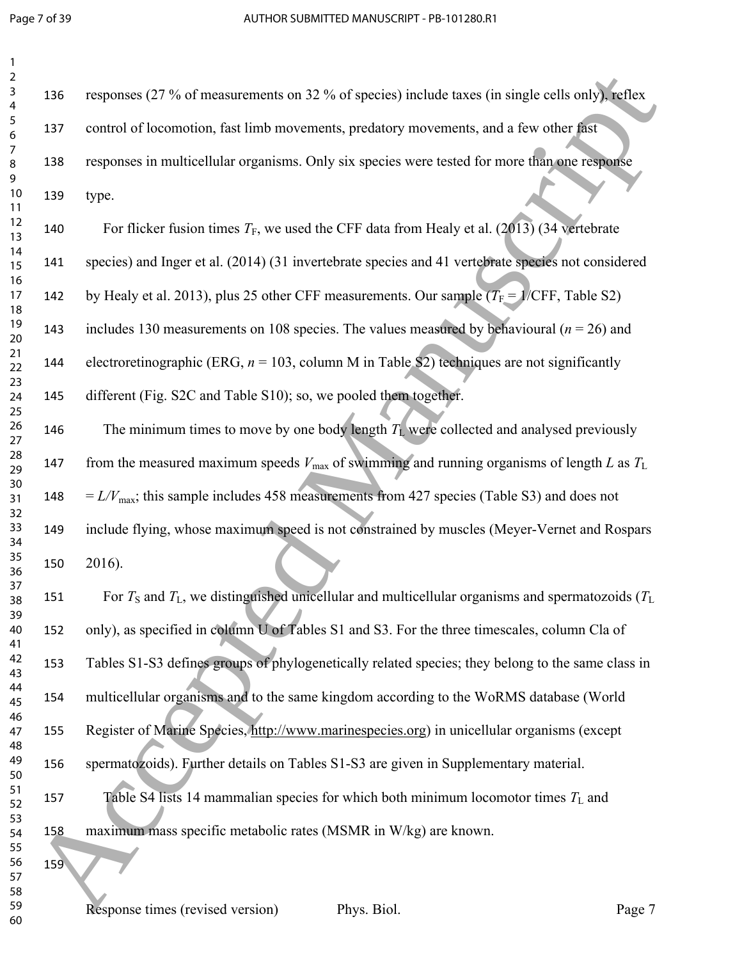| 136 |
|-----|
| 137 |
| 138 |
| 139 |
| 140 |
| 141 |
| 142 |
| 143 |
| 144 |
| 145 |
| 146 |
|     |
| 147 |
| 148 |
| 149 |
| 150 |
| 151 |
| 152 |
| 153 |
| 154 |
| 155 |
| 156 |
| 157 |
| 158 |
| 159 |
|     |
|     |

 responses (27 % of measurements on 32 % of species) include taxes (in single cells only), reflex control of locomotion, fast limb movements, predatory movements, and a few other fast 188 responses in multicellular organisms. Only six species were tested for more than one response 19 type. 10 For flicker fusion times  $T_F$ , we used the CFF data from Healy et al. (2013) (34 vertebrate species) and Inger et al. (2014) (31 invertebrate species and 41 vertebrate species not considered 12 by Healy et al. 2013), plus 25 other CFF measurements. Our sample  $(T_F = 1/\text{CFF}, \text{Table S2})$ 13 includes 130 measurements on 108 species. The values measured by behavioural ( $n = 26$ ) and 14 electroretinographic (ERG,  $n = 103$ , column M in Table S<sub>2</sub>) techniques are not significantly 15 different (Fig. S2C and Table S10); so, we pooled them together. 16 The minimum times to move by one body length  $T_L$  were collected and analysed previously 17 from the measured maximum speeds  $V_{\text{max}}$  of swimming and running organisms of length *L* as  $T_L$  $148 = L/V_{\text{max}}$ ; this sample includes 458 measurements from 427 species (Table S3) and does not include flying, whose maximum speed is not constrained by muscles (Meyer-Vernet and Rospars  $10 \quad 2016$ ). 151 For  $T_S$  and  $T_L$ , we distinguished unicellular and multicellular organisms and spermatozoids ( $T_L$ ) 152 only), as specified in column U of Tables S1 and S3. For the three timescales, column Cla of Tables S1-S3 defines groups of phylogenetically related species; they belong to the same class in 23<br>
136 res[p](http://www.marinespecies.org)onse (27 % of thresulteness on 32 % of species) include taxes (in single cells only figths<br>
8 Acceptes in multicellular organisms. Only six species were tested for more lifetime responses<br>
8 Acceptes in multic

multicellular organisms and to the same kingdom according to the WoRMS database (World

15 Register of Marine Species, http://www.marinespecies.org) in unicellular organisms (except

spermatozoids). Further details on Tables S1-S3 are given in Supplementary material.

17 Table S4 lists 14 mammalian species for which both minimum locomotor times  $T_L$  and maximum mass specific metabolic rates (MSMR in W/kg) are known.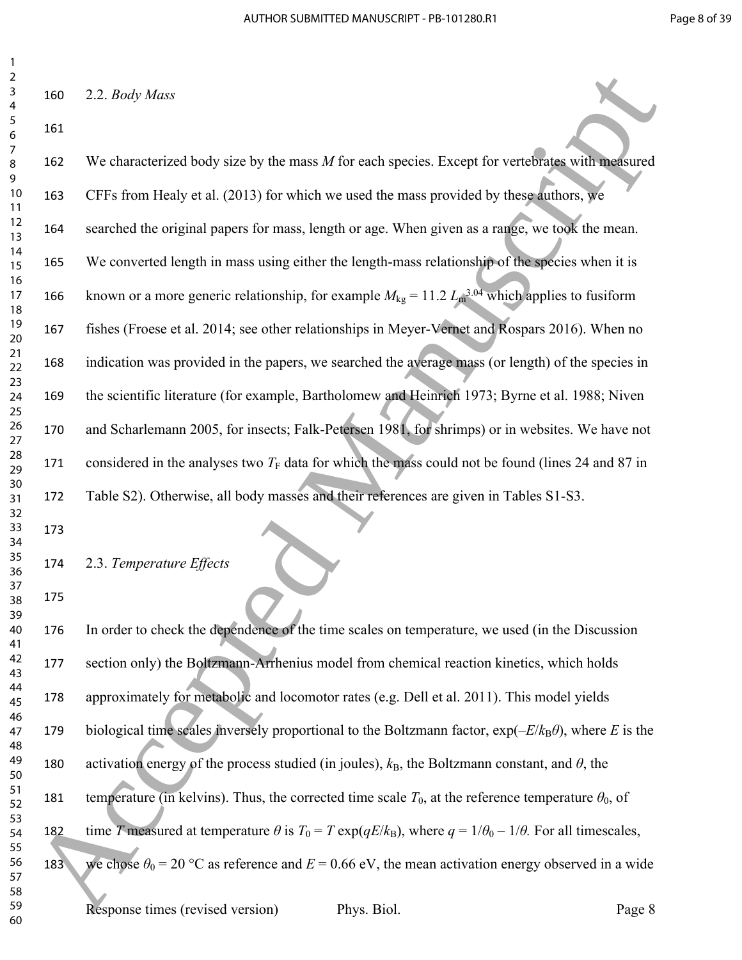2.2. *Body Mass*

 We characterized body size by the mass *M* for each species. Except for vertebrates with measured CFFs from Healy et al. (2013) for which we used the mass provided by these authors, we searched the original papers for mass, length or age. When given as a range, we took the mean. We converted length in mass using either the length-mass relationship of the species when it is 166 known or a more generic relationship, for example  $M_{kg} = 11.2 L_m^{3.04}$  which applies to fusiform fishes (Froese et al. 2014; see other relationships in Meyer-Vernet and Rospars 2016). When no indication was provided in the papers, we searched the average mass (or length) of the species in the scientific literature (for example, Bartholomew and Heinrich 1973; Byrne et al. 1988; Niven and Scharlemann 2005, for insects; Falk-Petersen 1981, for shrimps) or in websites. We have not 171 considered in the analyses two  $T_F$  data for which the mass could not be found (lines 24 and 87 in Table S2). Otherwise, all body masses and their references are given in Tables S1-S3. 26<br>
160 2.2. *Booty Mass*<br>
161<br>
160 2.2. *Booty Mass*<br>
161<br>
161<br>
162 We channel tried by sire by the mass M for each species. Freept for verticalistic scales<br>
161<br>
161<br>
162 CFS incorrected Manuscriptics of the mass Messeu

 

 

2.3. *Temperature Effects*

 

 In order to check the dependence of the time scales on temperature, we used (in the Discussion section only) the Boltzmann-Arrhenius model from chemical reaction kinetics, which holds approximately for metabolic and locomotor rates (e.g. Dell et al. 2011). This model yields 179 biological time scales inversely proportional to the Boltzmann factor,  $\exp(-E/k_B\theta)$ , where *E* is the 180 activation energy of the process studied (in joules),  $k_B$ , the Boltzmann constant, and  $\theta$ , the 181 temperature (in kelvins). Thus, the corrected time scale  $T_0$ , at the reference temperature  $\theta_0$ , of 182 time *T* measured at temperature  $\theta$  is  $T_0 = T \exp(qE/k_B)$ , where  $q = 1/\theta_0 - 1/\theta$ . For all timescales, 183 we chose  $\theta_0 = 20$  °C as reference and  $E = 0.66$  eV, the mean activation energy observed in a wide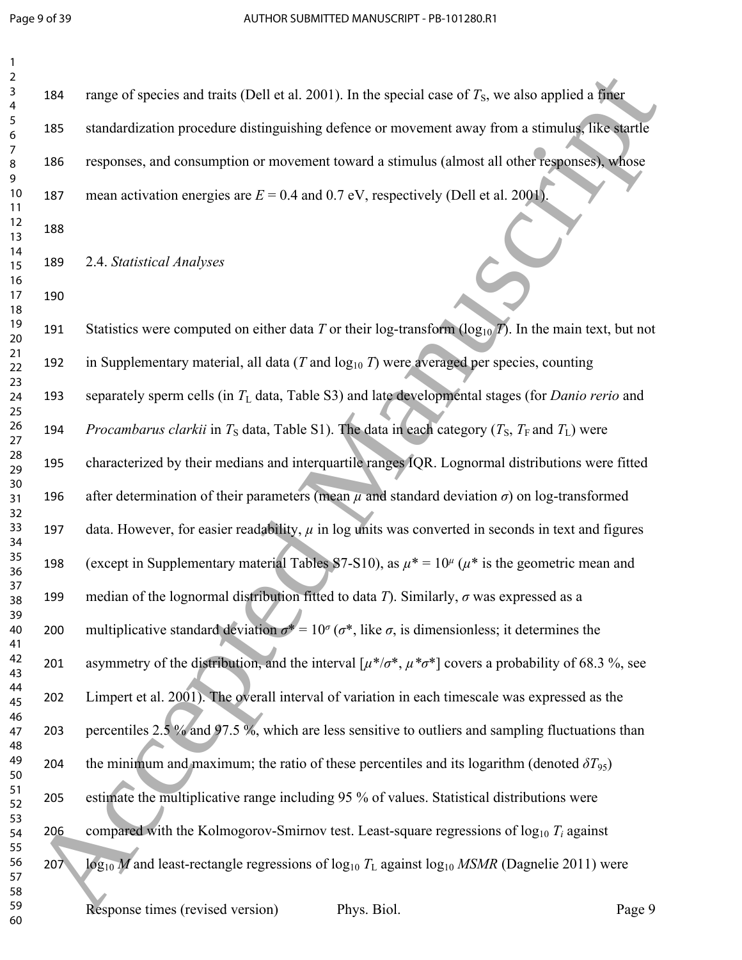| $\overline{2}$<br>$\mathsf 3$<br>$\overline{\mathbf{4}}$ | 184 | range of species and traits (Dell et al. 2001). In the special case of $T_s$ , we also applied a finer                       |
|----------------------------------------------------------|-----|------------------------------------------------------------------------------------------------------------------------------|
| $\sqrt{5}$<br>6                                          | 185 | standardization procedure distinguishing defence or movement away from a stimulus, like startle                              |
| $\overline{7}$<br>$\,8\,$                                | 186 | responses, and consumption or movement toward a stimulus (almost all other responses), whose                                 |
| 9<br>10<br>11                                            | 187 | mean activation energies are $E = 0.4$ and 0.7 eV, respectively (Dell et al. 2001).                                          |
| 12<br>13                                                 | 188 |                                                                                                                              |
| 14<br>15                                                 | 189 | 2.4. Statistical Analyses                                                                                                    |
| 16<br>17<br>18                                           | 190 |                                                                                                                              |
| 19<br>20                                                 | 191 | Statistics were computed on either data T or their log-transform $(\log_{10} T)$ . In the main text, but not                 |
| 21<br>22                                                 | 192 | in Supplementary material, all data ( $T$ and $log_{10} T$ ) were averaged per species, counting                             |
| 23<br>24<br>25                                           | 193 | separately sperm cells (in $T_L$ data, Table S3) and late developmental stages (for <i>Danio rerio</i> and                   |
| 26<br>27                                                 | 194 | <i>Procambarus clarkii</i> in $T_s$ data, Table S1). The data in each category ( $T_s$ , $T_F$ and $T_L$ ) were              |
| 28<br>29                                                 | 195 | characterized by their medians and interquartile ranges IQR. Lognormal distributions were fitted                             |
| 30<br>31<br>32                                           | 196 | after determination of their parameters (mean $\mu$ and standard deviation $\sigma$ ) on log-transformed                     |
| 33<br>34                                                 | 197 | data. However, for easier readability, $\mu$ in log units was converted in seconds in text and figures                       |
| 35<br>36                                                 | 198 | (except in Supplementary material Tables S7-S10), as $\mu^* = 10^{\mu}$ ( $\mu^*$ is the geometric mean and                  |
| 37<br>38<br>39                                           | 199 | median of the lognormal distribution fitted to data $T$ ). Similarly, $\sigma$ was expressed as a                            |
| 40<br>41                                                 | 200 | multiplicative standard deviation $\sigma^* = 10^{\circ}$ ( $\sigma^*$ , like $\sigma$ , is dimensionless; it determines the |
| 42<br>43                                                 | 201 | asymmetry of the distribution, and the interval $[\mu^*/\sigma^*, \mu^*\sigma^*]$ covers a probability of 68.3 %, see        |
| 44<br>45<br>46                                           | 202 | Limpert et al. 2001). The overall interval of variation in each timescale was expressed as the                               |
| 47<br>48                                                 | 203 | percentiles $2.5\%$ and 97.5%, which are less sensitive to outliers and sampling fluctuations than                           |
| 49<br>50                                                 | 204 | the minimum and maximum; the ratio of these percentiles and its logarithm (denoted $\delta T_{95}$ )                         |
| 51<br>52<br>53                                           | 205 | estimate the multiplicative range including 95 % of values. Statistical distributions were                                   |
| 54<br>55                                                 | 206 | compared with the Kolmogorov-Smirnov test. Least-square regressions of $log_{10} T_i$ against                                |
| 56<br>57                                                 | 207 | $\log_{10} M$ and least-rectangle regressions of $\log_{10} T_L$ against $\log_{10} MSMR$ (Dagnelie 2011) were               |
| 58<br>59<br>60                                           |     | Response times (revised version)<br>Phys. Biol.<br>Page 9                                                                    |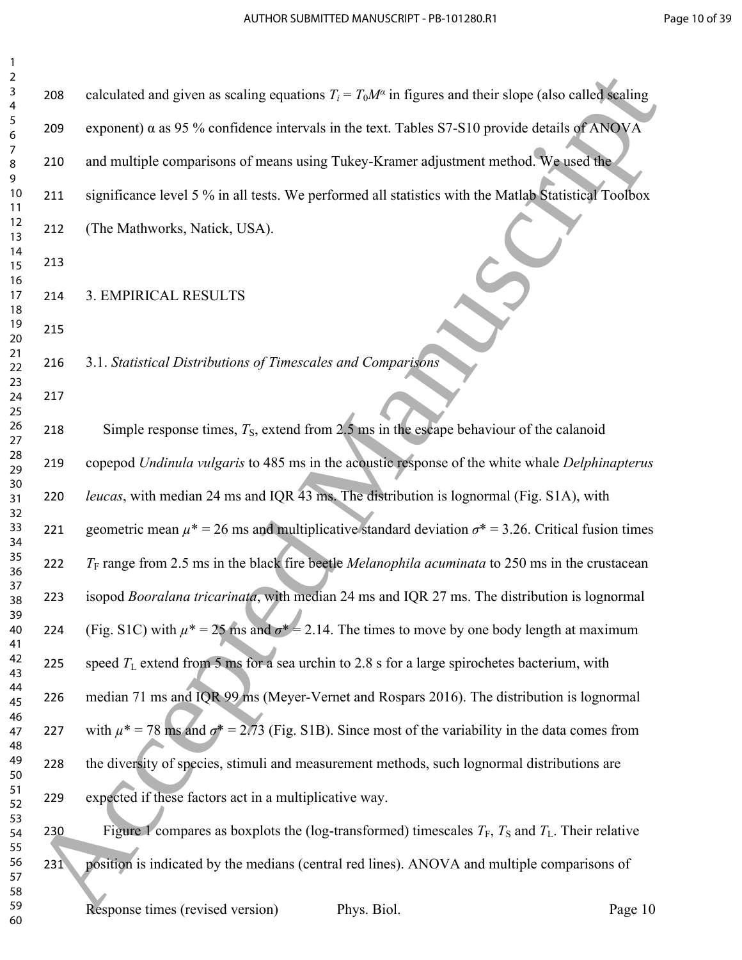| 2              |     |                                                                                                                |         |
|----------------|-----|----------------------------------------------------------------------------------------------------------------|---------|
| 3<br>4         | 208 | calculated and given as scaling equations $T_i = T_0 M^\alpha$ in figures and their slope (also called scaling |         |
| 5<br>6         | 209 | exponent) $\alpha$ as 95 % confidence intervals in the text. Tables S7-S10 provide details of ANOVA            |         |
| 7<br>8<br>9    | 210 | and multiple comparisons of means using Tukey-Kramer adjustment method. We used the                            |         |
| $10\,$<br>11   | 211 | significance level 5 % in all tests. We performed all statistics with the Matlab Statistical Toolbox           |         |
| 12<br>13       | 212 | (The Mathworks, Natick, USA).                                                                                  |         |
| 14<br>15<br>16 | 213 |                                                                                                                |         |
| 17<br>18       | 214 | 3. EMPIRICAL RESULTS                                                                                           |         |
| 19<br>20       | 215 |                                                                                                                |         |
| 21<br>22<br>23 | 216 | 3.1. Statistical Distributions of Timescales and Comparisons                                                   |         |
| 24<br>25       | 217 |                                                                                                                |         |
| 26<br>27       | 218 | Simple response times, $T_s$ , extend from 2.5 ms in the escape behaviour of the calanoid                      |         |
| 28<br>29<br>30 | 219 | copepod Undinula vulgaris to 485 ms in the acoustic response of the white whale Delphinapterus                 |         |
| 31<br>32       | 220 | leucas, with median 24 ms and IQR 43 ms. The distribution is lognormal (Fig. S1A), with                        |         |
| 33<br>34       | 221 | geometric mean $\mu^*$ = 26 ms and multiplicative standard deviation $\sigma^*$ = 3.26. Critical fusion times  |         |
| 35<br>36<br>37 | 222 | $T_F$ range from 2.5 ms in the black fire beetle <i>Melanophila acuminata</i> to 250 ms in the crustacean      |         |
| 38<br>39       | 223 | isopod Booralana tricarinata, with median 24 ms and IQR 27 ms. The distribution is lognormal                   |         |
| 40<br>41       | 224 | (Fig. S1C) with $\mu^* = 25$ ms and $\sigma^* = 2.14$ . The times to move by one body length at maximum        |         |
| 42<br>43       | 225 | speed $T_L$ extend from 5 ms for a sea urchin to 2.8 s for a large spirochetes bacterium, with                 |         |
| 44<br>45<br>46 | 226 | median 71 ms and IQR 99 ms (Meyer-Vernet and Rospars 2016). The distribution is lognormal                      |         |
| 47<br>48       | 227 | with $\mu^* = 78$ ms and $\sigma^* = 2.73$ (Fig. S1B). Since most of the variability in the data comes from    |         |
| 49<br>50       | 228 | the diversity of species, stimuli and measurement methods, such lognormal distributions are                    |         |
| 51<br>52       | 229 | expected if these factors act in a multiplicative way.                                                         |         |
| 53<br>54<br>55 | 230 | Figure 1 compares as boxplots the (log-transformed) timescales $T_F$ , $T_S$ and $T_L$ . Their relative        |         |
| 56<br>57       | 231 | position is indicated by the medians (central red lines). ANOVA and multiple comparisons of                    |         |
| 58<br>59<br>60 |     | Response times (revised version)<br>Phys. Biol.                                                                | Page 10 |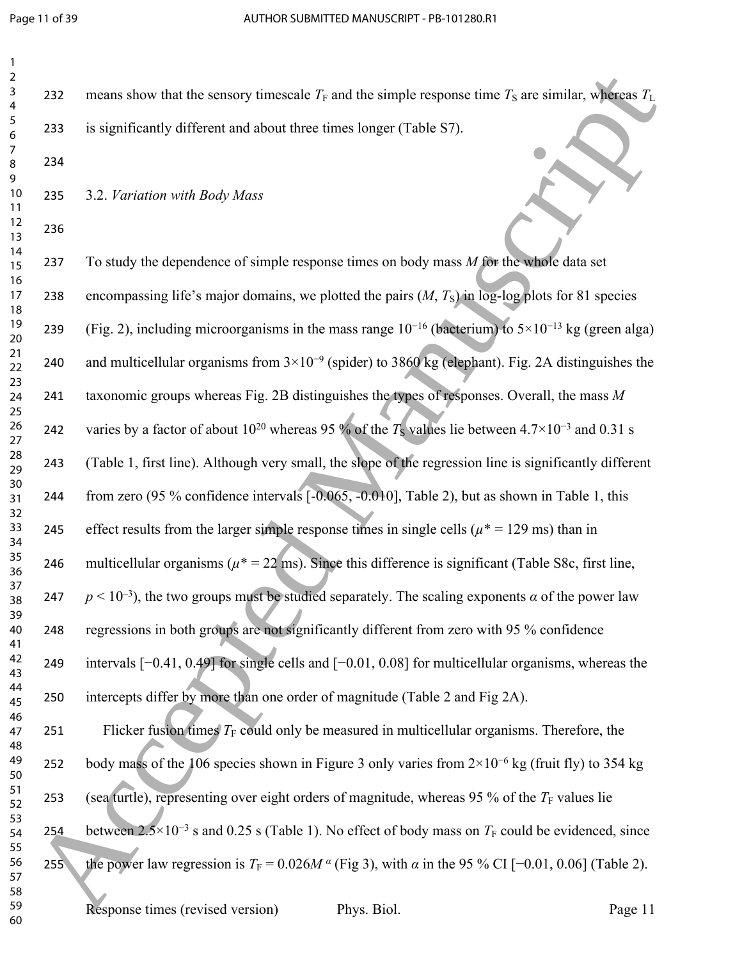| $\overline{c}$                |  |
|-------------------------------|--|
| 3                             |  |
| 4                             |  |
| 5                             |  |
| 6                             |  |
| Ĩ                             |  |
| 8                             |  |
| 9                             |  |
|                               |  |
| 10                            |  |
| 1<br>1                        |  |
| $\overline{\mathbf{c}}$<br>1  |  |
| 3<br>1                        |  |
| $\overline{14}$               |  |
| $\frac{15}{2}$                |  |
| 16                            |  |
| $\overline{\phantom{a}}$<br>1 |  |
| 18                            |  |
| 19<br>20                      |  |
|                               |  |
| -<br>21<br>22<br>23           |  |
|                               |  |
|                               |  |
| ←<br>24                       |  |
| $\frac{2}{2}$                 |  |
| 26                            |  |
| 27                            |  |
|                               |  |
| $^{28}$                       |  |
| 29                            |  |
| 30                            |  |
| $\overline{\phantom{a}}$      |  |
| $\frac{32}{2}$                |  |
| $\overline{\mathbf{3}}$       |  |
| 34                            |  |
| 35                            |  |
| 36                            |  |
| 37                            |  |
| 38                            |  |
| .<br>31<br>€                  |  |
| 40                            |  |
| 41                            |  |
| 42                            |  |
| 43                            |  |
| 44                            |  |
| 45                            |  |
| 46                            |  |
| 47                            |  |
| 48                            |  |
| 49                            |  |
| 50                            |  |
| 51                            |  |
| 52                            |  |
| 53                            |  |
| 54                            |  |
| 55                            |  |
|                               |  |
| 56                            |  |
| 57                            |  |
| l<br>$\overline{\delta}$      |  |

232 means show that the sensory timescale  $T_F$  and the simple response time  $T_S$  are similar, whereas  $T_L$  is significantly different and about three times longer (Table S7). 3.2. *Variation with Body Mass*  To study the dependence of simple response times on body mass *M* for the whole data set 238 encompassing life's major domains, we plotted the pairs  $(M, T<sub>S</sub>)$  in log-log plots for 81 species 239 (Fig. 2), including microorganisms in the mass range  $10^{-16}$  (bacterium) to  $5\times10^{-13}$  kg (green alga) and multicellular organisms from 3×10−9 (spider) to 3860 kg (elephant). Fig. 2A distinguishes the taxonomic groups whereas Fig. 2B distinguishes the types of responses. Overall, the mass *M*  242 varies by a factor of about  $10^{20}$  whereas 95 % of the  $T<sub>S</sub>$  values lie between 4.7×10<sup>-3</sup> and 0.31 s (Table 1, first line). Although very small, the slope of the regression line is significantly different from zero (95 % confidence intervals [-0.065, -0.010], Table 2), but as shown in Table 1, this 245 effect results from the larger simple response times in single cells ( $\mu^*$  = 129 ms) than in 246 multicellular organisms ( $\mu$ <sup>\*</sup> = 22 ms). Since this difference is significant (Table S8c, first line, 247 *p* < 10<sup>-3</sup>), the two groups must be studied separately. The scaling exponents *a* of the power law regressions in both groups are not significantly different from zero with 95 % confidence intervals [−0.41, 0.49] for single cells and [−0.01, 0.08] for multicellular organisms, whereas the intercepts differ by more than one order of magnitude (Table 2 and Fig 2A). 251 Flicker fusion times  $T_F$  could only be measured in multicellular organisms. Therefore, the body mass of the 106 species shown in Figure 3 only varies from 2×10−6 kg (fruit fly) to 354 kg 253 (sea turtle), representing over eight orders of magnitude, whereas 95 % of the  $T_F$  values lie 254 between  $2.5\times10^{-3}$  s and 0.25 s (Table 1). No effect of body mass on  $T_F$  could be evidenced, since 255 the power law regression is  $T_F = 0.026M$ <sup>*α*</sup> (Fig 3), with *α* in the 95 % CI [-0.01, 0.06] (Table 2). 232 means show that the sensory timescale F i and the simple response time F<sub>3</sub> are similar, where  $E_1$ <br>
8 Accepted Manuscription of the sense is the state of the SF)<br>
8 Accepted Manuscriptics and show the state is the s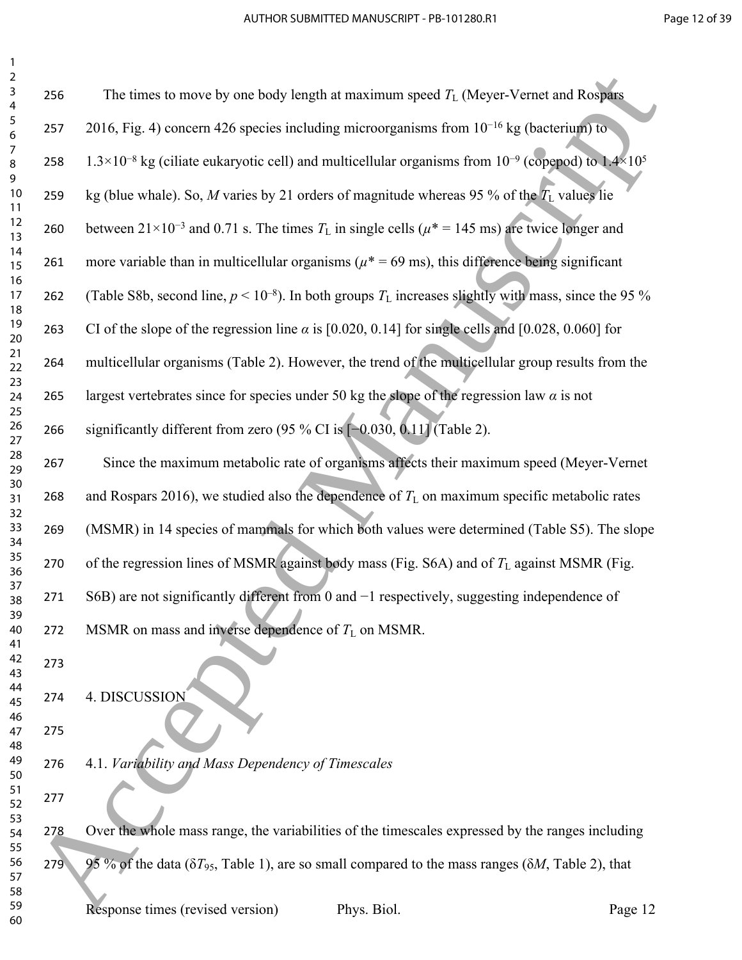| $\overline{2}$<br>$\mathsf{3}$<br>$\overline{\mathbf{4}}$ | 256 | The times to move by one body length at maximum speed $T_L$ (Meyer-Vernet and Rospars                                         |         |
|-----------------------------------------------------------|-----|-------------------------------------------------------------------------------------------------------------------------------|---------|
| $\sqrt{5}$<br>6                                           | 257 | 2016, Fig. 4) concern 426 species including microorganisms from $10^{-16}$ kg (bacterium) to                                  |         |
| $\overline{7}$<br>$\bf 8$                                 | 258 | $1.3 \times 10^{-8}$ kg (ciliate eukaryotic cell) and multicellular organisms from $10^{-9}$ (copepod) to $1.4 \times 10^{5}$ |         |
| 9<br>10<br>11                                             | 259 | kg (blue whale). So, M varies by 21 orders of magnitude whereas 95 % of the $T_L$ values lie                                  |         |
| 12<br>13                                                  | 260 | between $21 \times 10^{-3}$ and 0.71 s. The times $T_L$ in single cells ( $\mu$ <sup>*</sup> = 145 ms) are twice longer and   |         |
| 14<br>15                                                  | 261 | more variable than in multicellular organisms ( $\mu$ * = 69 ms), this difference being significant                           |         |
| 16<br>17<br>18                                            | 262 | (Table S8b, second line, $p < 10^{-8}$ ). In both groups $T_L$ increases slightly with mass, since the 95 %                   |         |
| 19<br>20                                                  | 263 | CI of the slope of the regression line $\alpha$ is [0.020, 0.14] for single cells and [0.028, 0.060] for                      |         |
| 21<br>22                                                  | 264 | multicellular organisms (Table 2). However, the trend of the multicellular group results from the                             |         |
| 23<br>24<br>25                                            | 265 | largest vertebrates since for species under 50 kg the slope of the regression law $\alpha$ is not                             |         |
| 26<br>27                                                  | 266 | significantly different from zero (95 % CI is $[-0.03\overline{0}, 0.11]$ (Table 2).                                          |         |
| 28<br>29                                                  | 267 | Since the maximum metabolic rate of organisms affects their maximum speed (Meyer-Vernet                                       |         |
| 30<br>31<br>32                                            | 268 | and Rospars 2016), we studied also the dependence of $T_L$ on maximum specific metabolic rates                                |         |
| 33<br>34                                                  | 269 | (MSMR) in 14 species of mammals for which both values were determined (Table S5). The slope                                   |         |
| 35<br>36                                                  | 270 | of the regression lines of MSMR against body mass (Fig. S6A) and of $T_L$ against MSMR (Fig.                                  |         |
| 37<br>38<br>39                                            | 271 | S6B) are not significantly different from 0 and $-1$ respectively, suggesting independence of                                 |         |
| 40<br>41                                                  | 272 | MSMR on mass and inverse dependence of $T_L$ on MSMR.                                                                         |         |
| 42<br>43                                                  | 273 |                                                                                                                               |         |
| 44<br>45<br>46                                            | 274 | 4. DISCUSSION                                                                                                                 |         |
| 47<br>48                                                  | 275 |                                                                                                                               |         |
| 49<br>50                                                  | 276 | 4.1. Variability and Mass Dependency of Timescales                                                                            |         |
| 51<br>52<br>53                                            | 277 |                                                                                                                               |         |
| 54<br>55                                                  | 278 | Over the whole mass range, the variabilities of the timescales expressed by the ranges including                              |         |
| 56<br>57                                                  | 279 | 95 % of the data ( $\delta T_{95}$ , Table 1), are so small compared to the mass ranges ( $\delta M$ , Table 2), that         |         |
| 58<br>59<br>60                                            |     | Response times (revised version)<br>Phys. Biol.                                                                               | Page 12 |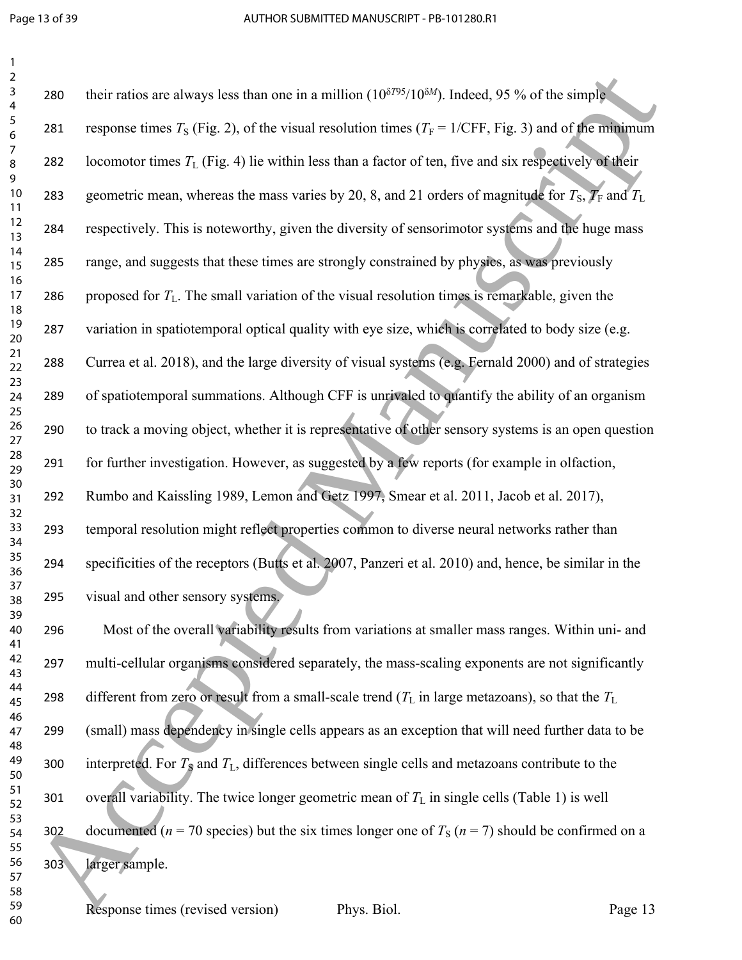| $\overline{2}$<br>$\mathsf{3}$<br>$\overline{4}$ | 280 | their ratios are always less than one in a million $(10^{\delta T95}/10^{\delta M})$ . Indeed, 95 % of the simple |         |
|--------------------------------------------------|-----|-------------------------------------------------------------------------------------------------------------------|---------|
| 5<br>$\boldsymbol{6}$                            | 281 | response times $T_s$ (Fig. 2), of the visual resolution times ( $T_F = 1/CFF$ , Fig. 3) and of the minimum        |         |
| 7<br>$\, 8$                                      | 282 | locomotor times $T_L$ (Fig. 4) lie within less than a factor of ten, five and six respectively of their           |         |
| 9<br>10<br>11                                    | 283 | geometric mean, whereas the mass varies by 20, 8, and 21 orders of magnitude for $T_s$ , $T_F$ and $T_L$          |         |
| 12<br>13                                         | 284 | respectively. This is noteworthy, given the diversity of sensorimotor systems and the huge mass                   |         |
| 14<br>15<br>16                                   | 285 | range, and suggests that these times are strongly constrained by physics, as was previously                       |         |
| 17<br>18                                         | 286 | proposed for $T_L$ . The small variation of the visual resolution times is remarkable, given the                  |         |
| 19<br>20                                         | 287 | variation in spatiotemporal optical quality with eye size, which is correlated to body size (e.g.                 |         |
| 21<br>22<br>23                                   | 288 | Currea et al. 2018), and the large diversity of visual systems (e.g. Fernald 2000) and of strategies              |         |
| 24<br>25                                         | 289 | of spatiotemporal summations. Although CFF is unrivaled to quantify the ability of an organism                    |         |
| 26<br>27                                         | 290 | to track a moving object, whether it is representative of other sensory systems is an open question               |         |
| 28<br>29                                         | 291 | for further investigation. However, as suggested by a few reports (for example in olfaction,                      |         |
| 30<br>31<br>32                                   | 292 | Rumbo and Kaissling 1989, Lemon and Getz 1997, Smear et al. 2011, Jacob et al. 2017),                             |         |
| 33<br>34                                         | 293 | temporal resolution might reflect properties common to diverse neural networks rather than                        |         |
| 35<br>36                                         | 294 | specificities of the receptors (Butts et al. 2007, Panzeri et al. 2010) and, hence, be similar in the             |         |
| 37<br>38<br>39                                   | 295 | visual and other sensory systems.                                                                                 |         |
| 40<br>41                                         | 296 | Most of the overall variability results from variations at smaller mass ranges. Within uni- and                   |         |
| 42<br>43                                         | 297 | multi-cellular organisms considered separately, the mass-scaling exponents are not significantly                  |         |
| 44<br>45                                         | 298 | different from zero or result from a small-scale trend $(T_L$ in large metazoans), so that the $T_L$              |         |
| 46<br>47<br>48                                   | 299 | (small) mass dependency in single cells appears as an exception that will need further data to be                 |         |
| 49<br>50                                         | 300 | interpreted. For $T_s$ and $T_L$ , differences between single cells and metazoans contribute to the               |         |
| 51<br>52                                         | 301 | overall variability. The twice longer geometric mean of $T_L$ in single cells (Table 1) is well                   |         |
| 53<br>54<br>55                                   | 302 | documented ( $n = 70$ species) but the six times longer one of $T_s$ ( $n = 7$ ) should be confirmed on a         |         |
| 56<br>57                                         | 303 | larger sample.                                                                                                    |         |
| 58<br>59<br>60                                   |     | Response times (revised version)<br>Phys. Biol.                                                                   | Page 13 |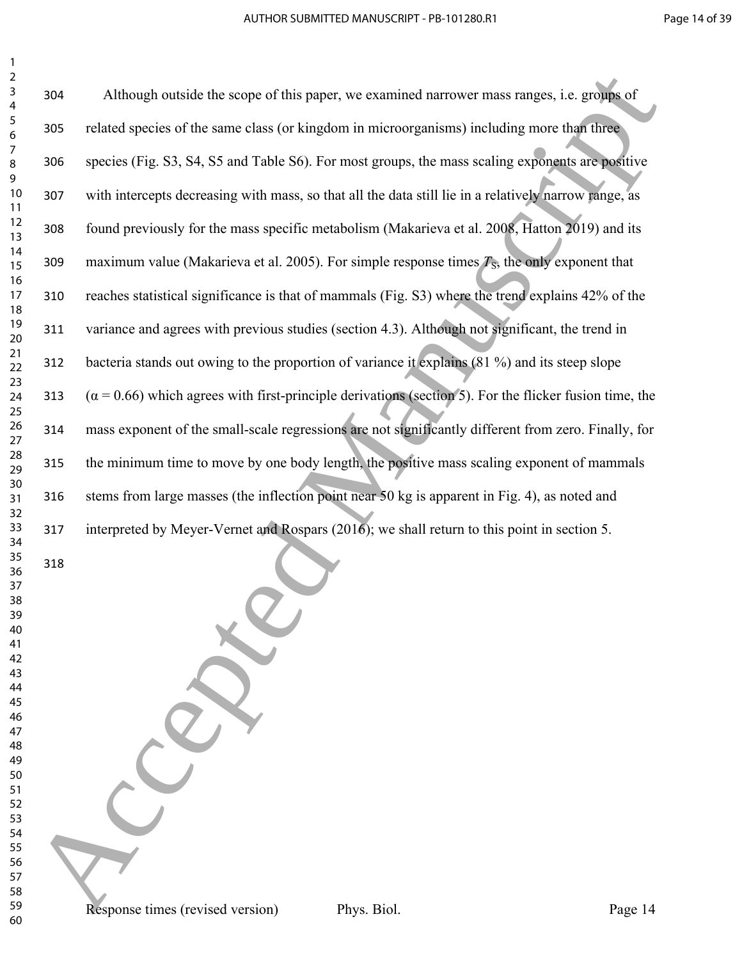| $\overline{2}$<br>$\mathsf 3$<br>4                                                                                   | 304                                                                                                  | Although outside the scope of this paper, we examined narrower mass ranges, i.e. groups of                    |  |  |
|----------------------------------------------------------------------------------------------------------------------|------------------------------------------------------------------------------------------------------|---------------------------------------------------------------------------------------------------------------|--|--|
| 5<br>6                                                                                                               | 305                                                                                                  | related species of the same class (or kingdom in microorganisms) including more than three                    |  |  |
| 7<br>$\bf 8$<br>9                                                                                                    | 306                                                                                                  | species (Fig. S3, S4, S5 and Table S6). For most groups, the mass scaling exponents are positive              |  |  |
| 10<br>11                                                                                                             | 307                                                                                                  | with intercepts decreasing with mass, so that all the data still lie in a relatively narrow range, as         |  |  |
| 12<br>13                                                                                                             | 308                                                                                                  | found previously for the mass specific metabolism (Makarieva et al. 2008, Hatton 2019) and its                |  |  |
| 14<br>15<br>16                                                                                                       | 309                                                                                                  | maximum value (Makarieva et al. 2005). For simple response times $T_s$ , the only exponent that               |  |  |
| 17<br>18                                                                                                             | 310                                                                                                  | reaches statistical significance is that of mammals (Fig. S3) where the trend explains 42% of the             |  |  |
| 19<br>20<br>21                                                                                                       | 311                                                                                                  | variance and agrees with previous studies (section 4.3). Although not significant, the trend in               |  |  |
| 22<br>23                                                                                                             | 312                                                                                                  | bacteria stands out owing to the proportion of variance it explains (81 %) and its steep slope                |  |  |
| 24<br>25                                                                                                             | 313                                                                                                  | $(\alpha = 0.66)$ which agrees with first-principle derivations (section 5). For the flicker fusion time, the |  |  |
| 26<br>27                                                                                                             | 314                                                                                                  | mass exponent of the small-scale regressions are not significantly different from zero. Finally, for          |  |  |
| 28<br>29<br>30                                                                                                       | 315                                                                                                  | the minimum time to move by one body length, the positive mass scaling exponent of mammals                    |  |  |
| 31<br>32                                                                                                             | stems from large masses (the inflection point near 50 kg is apparent in Fig. 4), as noted and<br>316 |                                                                                                               |  |  |
| 33<br>34                                                                                                             | 317                                                                                                  | interpreted by Meyer-Vernet and Rospars (2016); we shall return to this point in section 5.                   |  |  |
| 35<br>36<br>37<br>38<br>39<br>40<br>41<br>42<br>43<br>44<br>45<br>46<br>47<br>48<br>49<br>50<br>51<br>52<br>53<br>54 | 318                                                                                                  |                                                                                                               |  |  |
| 55<br>56<br>57<br>58<br>59<br>60                                                                                     |                                                                                                      | Phys. Biol.<br>Response times (revised version)<br>Page 14                                                    |  |  |
|                                                                                                                      |                                                                                                      |                                                                                                               |  |  |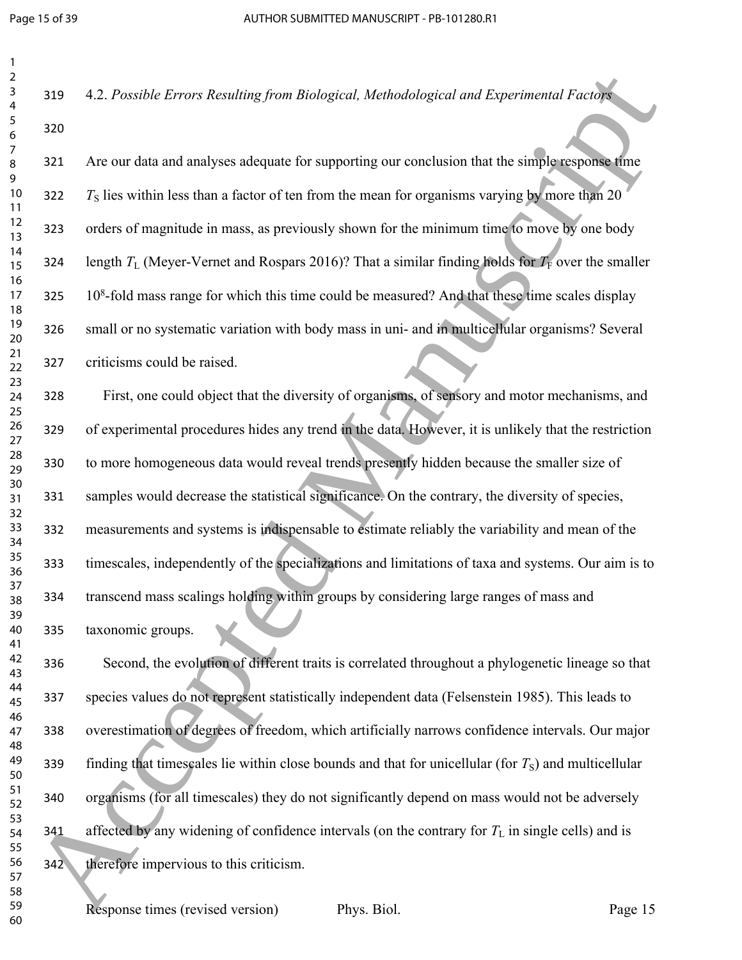| 1<br>$\overline{2}$ |     |
|---------------------|-----|
| 3<br>4              | 319 |
| 5<br>6              | 320 |
| 7<br>8              | 321 |
| 9<br>10<br>11       | 322 |
| 12<br>13            | 323 |
| 14<br>15            | 324 |
| 16<br>17            | 325 |
| 18<br>19<br>20      | 326 |
| 21<br>22            | 327 |
| 23<br>24            | 328 |
| 25<br>26            | 329 |
| 27<br>28            | 330 |
| 29<br>30<br>31      | 331 |
| 32<br>33            | 332 |
| 34<br>35            | 333 |
| 36<br>37            |     |
| 38<br>39            | 334 |
| 40<br>41<br>42      | 335 |
| 43<br>44            | 336 |
| 45<br>46            | 337 |
| 47<br>48            | 338 |
| 49<br>50<br>51      | 339 |
| 52<br>53            | 340 |
| 54<br>55            | 341 |
| 56<br>57            | 342 |
| 58<br>59            |     |

Are our data and analyses adequate for supporting our conclusion that the simple response time  $T<sub>S</sub>$  lies within less than a factor of ten from the mean for organisms varying by more than 20 orders of magnitude in mass, as previously shown for the minimum time to move by one body length  $T_L$  (Meyer-Vernet and Rospars 2016)? That a similar finding holds for  $T_F$  over the smaller 325 10<sup>8</sup>-fold mass range for which this time could be measured? And that these time scales display small or no systematic variation with body mass in uni- and in multicellular organisms? Several criticisms could be raised.

4.2. *Possible Errors Resulting from Biological, Methodological and Experimental Factors*

First, one could object that the diversity of organisms, of sensory and motor mechanisms, and of experimental procedures hides any trend in the data. However, it is unlikely that the restriction to more homogeneous data would reveal trends presently hidden because the smaller size of samples would decrease the statistical significance. On the contrary, the diversity of species, measurements and systems is indispensable to estimate reliably the variability and mean of the timescales, independently of the specializations and limitations of taxa and systems. Our aim is to transcend mass scalings holding within groups by considering large ranges of mass and taxonomic groups. 24<br>
25 2002 4.2 Prosible Errors Reading from Biological, Methodological and Esperimental forcula<br>
26 221<br>
26 221<br>
26 221<br>
26 221 Accept distant and analyses adequate for suppensing numeration that the simple security from

Second, the evolution of different traits is correlated throughout a phylogenetic lineage so that species values do not represent statistically independent data (Felsenstein 1985). This leads to overestimation of degrees of freedom, which artificially narrows confidence intervals. Our major finding that timescales lie within close bounds and that for unicellular (for  $T<sub>S</sub>$ ) and multicellular organisms (for all timescales) they do not significantly depend on mass would not be adversely affected by any widening of confidence intervals (on the contrary for  $T<sub>L</sub>$  in single cells) and is therefore impervious to this criticism.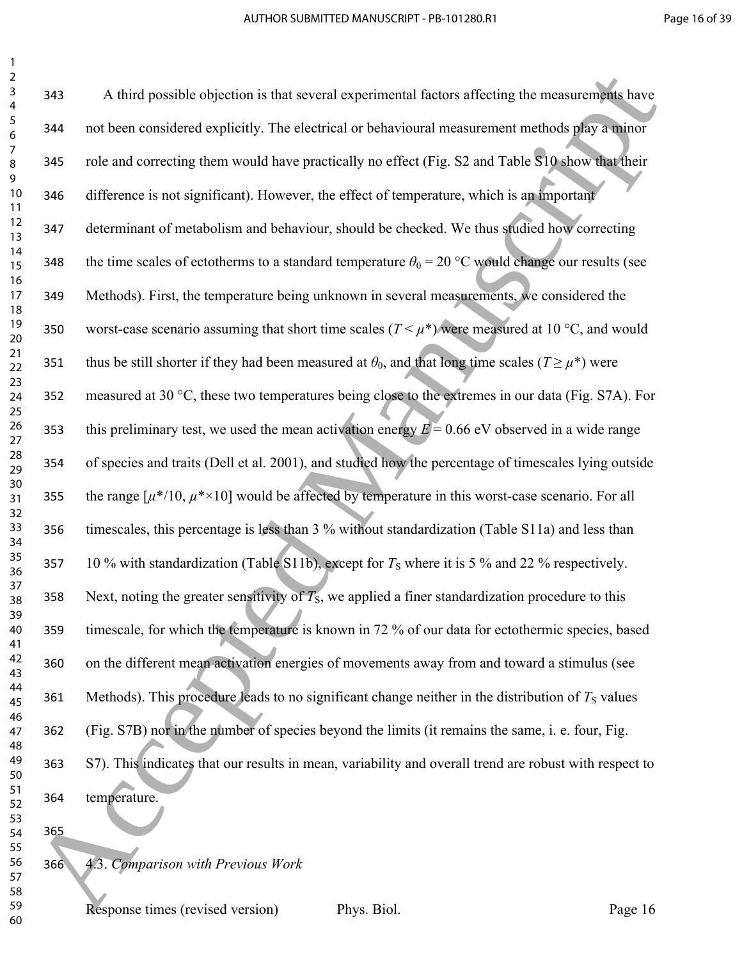A third possible objection is that several experimental factors affecting the measurements have not been considered explicitly. The electrical or behavioural measurement methods play a minor role and correcting them would have practically no effect (Fig. S2 and Table S10 show that their difference is not significant). However, the effect of temperature, which is an important determinant of metabolism and behaviour, should be checked. We thus studied how correcting 348 the time scales of ectotherms to a standard temperature  $\theta_0 = 20$  °C would change our results (see Methods). First, the temperature being unknown in several measurements, we considered the 350 worst-case scenario assuming that short time scales  $(T < \mu^*)$  were measured at 10 °C, and would 351 thus be still shorter if they had been measured at  $\theta_0$ , and that long time scales ( $T \ge \mu^*$ ) were measured at 30 °C, these two temperatures being close to the extremes in our data (Fig. S7A). For 353 this preliminary test, we used the mean activation energy  $E = 0.66$  eV observed in a wide range of species and traits (Dell et al. 2001), and studied how the percentage of timescales lying outside 355 the range  $[\mu^*/10, \mu^* \times 10]$  would be affected by temperature in this worst-case scenario. For all timescales, this percentage is less than 3 % without standardization (Table S11a) and less than 357 10 % with standardization (Table S11b), except for  $T<sub>S</sub>$  where it is 5 % and 22 % respectively. 358 Next, noting the greater sensitivity of  $T<sub>S</sub>$ , we applied a finer standardization procedure to this timescale, for which the temperature is known in 72 % of our data for ectothermic species, based on the different mean activation energies of movements away from and toward a stimulus (see 361 Methods). This procedure leads to no significant change neither in the distribution of  $T<sub>S</sub>$  values (Fig. S7B) nor in the number of species beyond the limits (it remains the same, i. e. four, Fig. S7). This indicates that our results in mean, variability and overall trend are robust with respect to temperature. 4.3. *Comparison with Previous Work* 24 Accepted Manuscript (a) the second experimental factors affecting the measurements have<br>
23 Accepted Manuscript (a) The electrical or heliotional measurement methods of the measurement<br>
24 Accepted Manuscript (a) The e

Response times (revised version) Phys. Biol. Page 16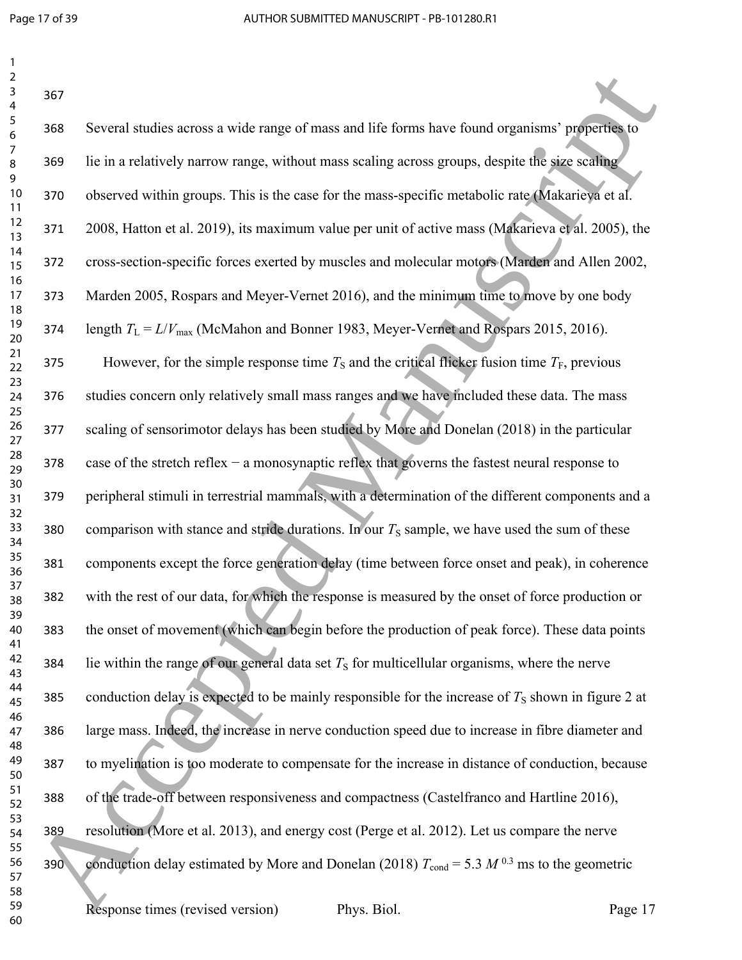| S                                         |  |
|-------------------------------------------|--|
| 4                                         |  |
| 5                                         |  |
| $\epsilon$                                |  |
|                                           |  |
| ر<br>ع<br>ś                               |  |
| $\mathbf$<br>)                            |  |
| $\overline{10}$                           |  |
|                                           |  |
| 1<br>1                                    |  |
| 1<br>$\overline{2}$                       |  |
| 1<br>3                                    |  |
| $\frac{1}{4}$<br>1                        |  |
| 1<br>5                                    |  |
| 16<br>17<br>18                            |  |
|                                           |  |
|                                           |  |
| 19                                        |  |
| 20                                        |  |
|                                           |  |
| - 21<br>22<br>23<br>24<br>25              |  |
|                                           |  |
|                                           |  |
|                                           |  |
|                                           |  |
| 26<br>27<br>28                            |  |
|                                           |  |
|                                           |  |
| -<br>29                                   |  |
| 30                                        |  |
| $\overline{\textbf{3}}$                   |  |
| $\overline{\mathbf{3}}$<br>$\overline{ }$ |  |
| $\overline{\mathbf{S}}$<br>ş              |  |
| $\frac{34}{5}$                            |  |
| $\frac{35}{5}$                            |  |
|                                           |  |
| 36<br>37<br>38                            |  |
|                                           |  |
| 39                                        |  |
|                                           |  |
| $\overline{10}$                           |  |
| 41                                        |  |
| 42<br>,                                   |  |
| $\ddot{a}$<br>ξ                           |  |
| 44                                        |  |
| 4                                         |  |
| 46                                        |  |
| $\overline{4}$                            |  |
| 48<br>ś                                   |  |
| 49                                        |  |
| 50                                        |  |
| $\overline{\mathbf{5}}$<br>1              |  |
| 5.<br>,                                   |  |
| $\overline{\mathbf{5}}$<br>ξ              |  |
| 54                                        |  |
| 55                                        |  |
|                                           |  |
| 56                                        |  |
| 5                                         |  |
| 58                                        |  |

| 2<br>3<br>4    | 367 |                                                                                                      |         |
|----------------|-----|------------------------------------------------------------------------------------------------------|---------|
| 5<br>6         | 368 | Several studies across a wide range of mass and life forms have found organisms' properties to       |         |
| 7<br>8<br>9    | 369 | lie in a relatively narrow range, without mass scaling across groups, despite the size scaling       |         |
| $10$<br>11     | 370 | observed within groups. This is the case for the mass-specific metabolic rate (Makarieva et al.      |         |
| 12<br>13       | 371 | 2008, Hatton et al. 2019), its maximum value per unit of active mass (Makarieva et al. 2005), the    |         |
| 14<br>15<br>16 | 372 | cross-section-specific forces exerted by muscles and molecular motors (Marden and Allen 2002,        |         |
| 17<br>18       | 373 | Marden 2005, Rospars and Meyer-Vernet 2016), and the minimum time to move by one body                |         |
| 19<br>20       | 374 | length $T_L = L/V_{\text{max}}$ (McMahon and Bonner 1983, Meyer-Vernet and Rospars 2015, 2016).      |         |
| 21<br>22       | 375 | However, for the simple response time $T_s$ and the critical flicker fusion time $T_F$ , previous    |         |
| 23<br>24<br>25 | 376 | studies concern only relatively small mass ranges and we have included these data. The mass          |         |
| 26<br>27       | 377 | scaling of sensorimotor delays has been studied by More and Donelan (2018) in the particular         |         |
| 28<br>29       | 378 | case of the stretch reflex $-$ a monosynaptic reflex that governs the fastest neural response to     |         |
| 30<br>31<br>32 | 379 | peripheral stimuli in terrestrial mammals, with a determination of the different components and a    |         |
| 33<br>34       | 380 | comparison with stance and stride durations. In our $T_s$ sample, we have used the sum of these      |         |
| 35<br>36       | 381 | components except the force generation delay (time between force onset and peak), in coherence       |         |
| 37<br>38<br>39 | 382 | with the rest of our data, for which the response is measured by the onset of force production or    |         |
| 40<br>41       | 383 | the onset of movement (which can begin before the production of peak force). These data points       |         |
| 42<br>43       | 384 | lie within the range of our general data set $TS$ for multicellular organisms, where the nerve       |         |
| 44<br>45<br>46 | 385 | conduction delay is expected to be mainly responsible for the increase of $T_s$ shown in figure 2 at |         |
| 47<br>48       | 386 | large mass. Indeed, the increase in nerve conduction speed due to increase in fibre diameter and     |         |
| 49<br>50       | 387 | to myelination is too moderate to compensate for the increase in distance of conduction, because     |         |
| 51<br>52<br>53 | 388 | of the trade-off between responsiveness and compactness (Castelfranco and Hartline 2016),            |         |
| 54<br>55       | 389 | resolution (More et al. 2013), and energy cost (Perge et al. 2012). Let us compare the nerve         |         |
| 56<br>57       | 390 | conduction delay estimated by More and Donelan (2018) $T_{cond} = 5.3 M^{0.3}$ ms to the geometric   |         |
| 58<br>59<br>60 |     | Response times (revised version)<br>Phys. Biol.                                                      | Page 17 |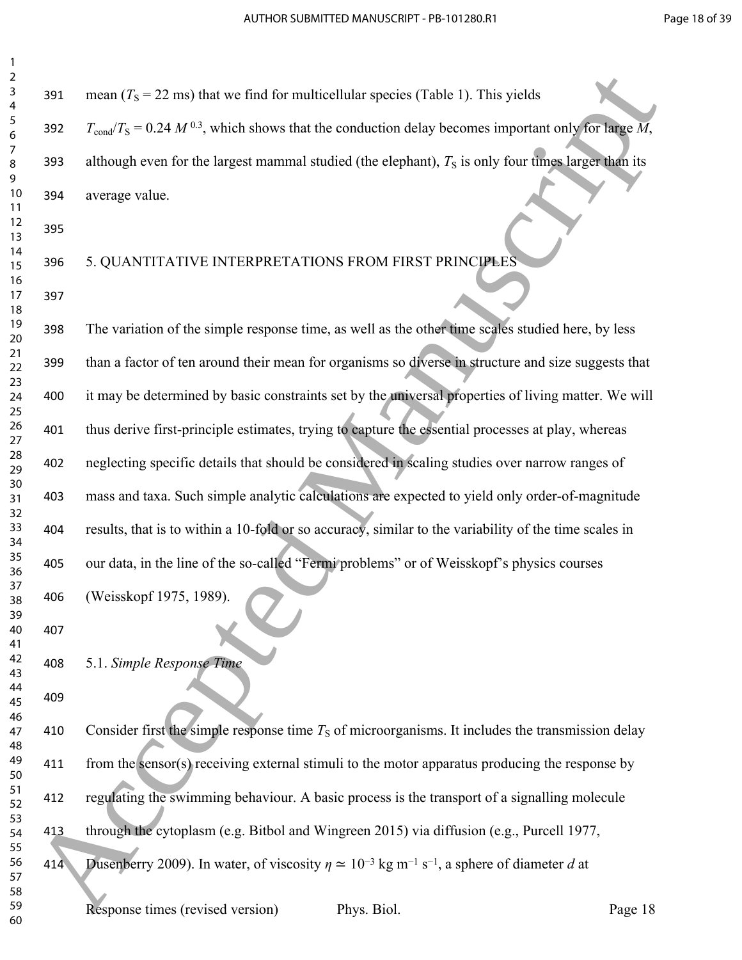| 2                              |  |
|--------------------------------|--|
| 3                              |  |
| 4                              |  |
| 5                              |  |
| 6                              |  |
|                                |  |
|                                |  |
| 8                              |  |
| 9                              |  |
| 10                             |  |
| $\mathbf{1}$<br>1              |  |
| $\mathbf{1}$<br>$\overline{c}$ |  |
| 13                             |  |
| 1<br>4                         |  |
| 15                             |  |
|                                |  |
| 16                             |  |
| 17                             |  |
| 18                             |  |
| 19                             |  |
| 20                             |  |
| $\overline{21}$                |  |
| $\overline{2}$<br>,            |  |
| 23                             |  |
| $^{24}$                        |  |
| 25                             |  |
|                                |  |
| 26                             |  |
| $\overline{2}$                 |  |
| 28                             |  |
| 29                             |  |
| 30                             |  |
| $\overline{\textbf{3}}$        |  |
| $\overline{\mathbf{S}}$<br>,   |  |
| $\overline{\mathbf{3}}$<br>3   |  |
|                                |  |
| 34                             |  |
| 35                             |  |
| 36                             |  |
| $\overline{\mathbf{3}}$        |  |
| 38                             |  |
| $\overline{\mathbf{3}}$<br>J   |  |
| 40                             |  |
| 41                             |  |
| 42                             |  |
| 43                             |  |
|                                |  |
| 44                             |  |
| 45                             |  |
| 46                             |  |
| 47                             |  |
| 48                             |  |
| 49                             |  |
| 50                             |  |
| 51                             |  |
| 52                             |  |
|                                |  |
| 53                             |  |
| 54                             |  |
| 55                             |  |
| 56                             |  |
| 57                             |  |
| 58                             |  |

391 mean  $(T<sub>S</sub> = 22 \text{ ms})$  that we find for multicellular species (Table 1). This yields 392  $T_{cond}/T_S = 0.24 M^{0.3}$ , which shows that the conduction delay becomes important only for large M, 393 although even for the largest mammal studied (the elephant),  $T<sub>S</sub>$  is only four times larger than its average value.

5. QUANTITATIVE INTERPRETATIONS FROM FIRST PRINCIPLES

 The variation of the simple response time, as well as the other time scales studied here, by less than a factor of ten around their mean for organisms so diverse in structure and size suggests that it may be determined by basic constraints set by the universal properties of living matter. We will thus derive first-principle estimates, trying to capture the essential processes at play, whereas neglecting specific details that should be considered in scaling studies over narrow ranges of mass and taxa. Such simple analytic calculations are expected to yield only order-of-magnitude results, that is to within a 10-fold or so accuracy, similar to the variability of the time scales in our data, in the line of the so-called "Fermi problems" or of Weisskopf's physics courses (Weisskopf 1975, 1989). 39 America ( $I_5 = 22$  may) that we find for multicellular species (Tuble 1). This yields<br>
5 Accepted Manuscript Consider Manuscript School and Consider Manuscript Consider Manuscript Consider Manuscript<br>
19 Accepted Manus

5.1. *Simple Response Time*

410 Consider first the simple response time  $T<sub>S</sub>$  of microorganisms. It includes the transmission delay from the sensor(s) receiving external stimuli to the motor apparatus producing the response by regulating the swimming behaviour. A basic process is the transport of a signalling molecule through the cytoplasm (e.g. Bitbol and Wingreen 2015) via diffusion (e.g., Purcell 1977, 414 Dusenberry 2009). In water, of viscosity  $\eta \simeq 10^{-3}$  kg m<sup>-1</sup> s<sup>-1</sup>, a sphere of diameter *d* at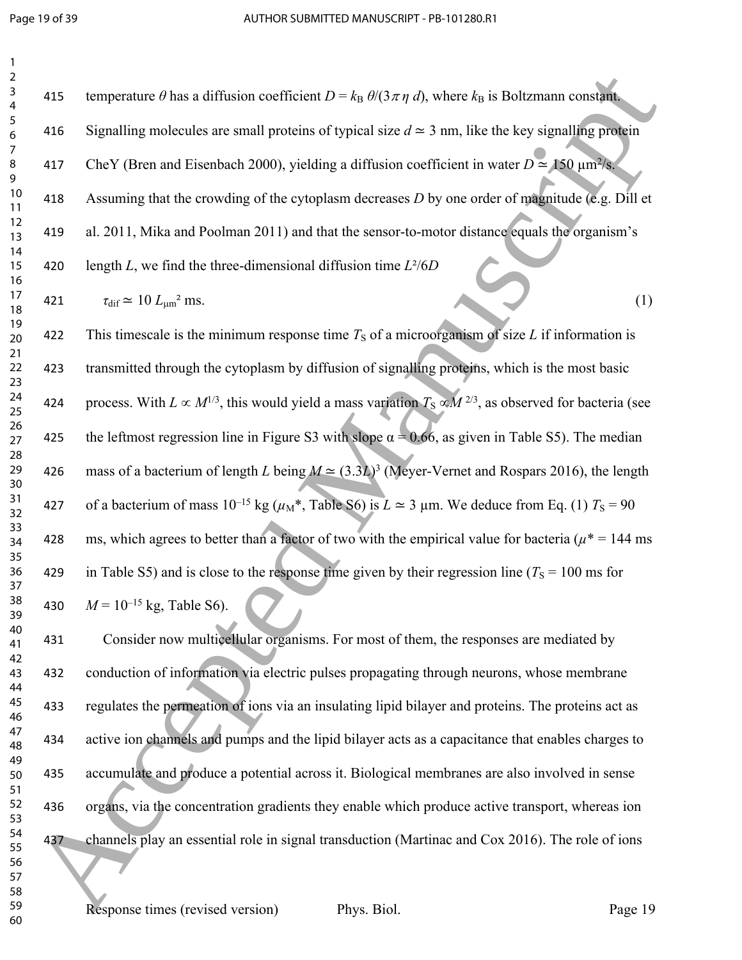| $\overline{c}$      |  |
|---------------------|--|
| 3                   |  |
| 4                   |  |
| 5                   |  |
|                     |  |
| 6<br>7              |  |
|                     |  |
| 8                   |  |
| 9                   |  |
| 10                  |  |
| 1<br>1              |  |
| $\overline{c}$<br>1 |  |
| 13                  |  |
| $\overline{14}$     |  |
| 15                  |  |
|                     |  |
| 16<br>17            |  |
|                     |  |
| 18                  |  |
| 19                  |  |
| -<br>20<br>-        |  |
| ر<br>21             |  |
| $\frac{2}{5}$       |  |
| 23                  |  |
| 24                  |  |
| 25                  |  |
| 26                  |  |
| $^{27}$             |  |
| 28                  |  |
|                     |  |
| 29                  |  |
| 30                  |  |
| 31                  |  |
| 32                  |  |
| 33                  |  |
| 34                  |  |
| 35                  |  |
| 36                  |  |
| 37                  |  |
| 38                  |  |
| $\mathbf{S}$<br>y   |  |
|                     |  |
| 40                  |  |
| 41                  |  |
| 42                  |  |
| 43                  |  |
| 44                  |  |
| 45                  |  |
| 46                  |  |
| 47                  |  |
| 48                  |  |
| 49                  |  |
| 50                  |  |
| 51                  |  |
| 52                  |  |
| 53                  |  |
|                     |  |
| 54                  |  |
| 55                  |  |
| 56                  |  |
| 57                  |  |
| 58                  |  |

| 415 | temperature $\theta$ has a diffusion coefficient $D = k_B \theta/(3 \pi \eta d)$ , where $k_B$ is Boltzmann constant.      |
|-----|----------------------------------------------------------------------------------------------------------------------------|
|     |                                                                                                                            |
| 416 | Signalling molecules are small proteins of typical size $d \approx 3$ nm, like the key signalling protein                  |
| 417 | CheY (Bren and Eisenbach 2000), yielding a diffusion coefficient in water $D \approx 150 \text{ }\mu\text{m}^2/\text{s}$ . |
| 418 | Assuming that the crowding of the cytoplasm decreases $D$ by one order of magnitude (e.g. Dill et                          |
| 419 | al. 2011, Mika and Poolman 2011) and that the sensor-to-motor distance equals the organism's                               |
| 420 | length L, we find the three-dimensional diffusion time $L^2/6D$                                                            |
| 421 | $\tau_{\text{dif}} \simeq 10 L_{\text{um}}^2$ ms.                                                                          |

422 This timescale is the minimum response time  $T<sub>S</sub>$  of a microorganism of size L if information is transmitted through the cytoplasm by diffusion of signalling proteins, which is the most basic 424 process. With  $L \propto M^{1/3}$ , this would yield a mass variation  $T_S \propto M^{2/3}$ , as observed for bacteria (see 425 the leftmost regression line in Figure S3 with slope  $\alpha = 0.66$ , as given in Table S5). The median 426 mass of a bacterium of length *L* being  $M \approx (3.3L)^3$  (Meyer-Vernet and Rospars 2016), the length 427 of a bacterium of mass  $10^{-15}$  kg ( $\mu_M^*$ , Table S6) is  $L \approx 3$  µm. We deduce from Eq. (1)  $T_s = 90$ 428 ms, which agrees to better than a factor of two with the empirical value for bacteria ( $\mu^*$  = 144 ms 429 in Table S5) and is close to the response time given by their regression line ( $T_s = 100$  ms for 430  $M = 10^{-15}$  kg, Table S6). 24 Accepts and diffusion coefficient  $D = \frac{1}{2}$  on  $(3\pi\sigma_1 t)$ , where  $\lambda_E$  is Redominant coefficient  $\sigma_2$ <br>
25 Accepted Manuscript Chern and University 2000), yielding a diffusion coefficient in write  $D = 180$  Accepte

 Consider now multicellular organisms. For most of them, the responses are mediated by conduction of information via electric pulses propagating through neurons, whose membrane regulates the permeation of ions via an insulating lipid bilayer and proteins. The proteins act as active ion channels and pumps and the lipid bilayer acts as a capacitance that enables charges to accumulate and produce a potential across it. Biological membranes are also involved in sense organs, via the concentration gradients they enable which produce active transport, whereas ion channels play an essential role in signal transduction (Martinac and Cox 2016). The role of ions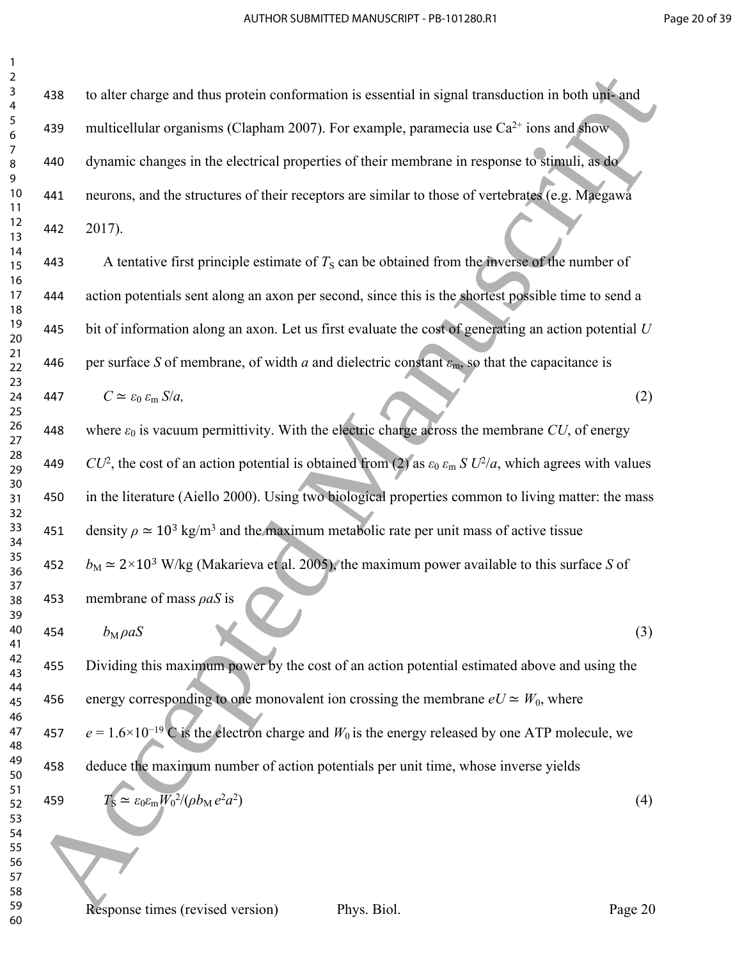| 1                   |  |
|---------------------|--|
| $\overline{c}$      |  |
| 3                   |  |
| 4                   |  |
| 5                   |  |
|                     |  |
| 6<br>7              |  |
|                     |  |
| 8                   |  |
| 9                   |  |
| 10                  |  |
| 1<br>1              |  |
| $\overline{c}$<br>1 |  |
| $\overline{13}$     |  |
| 14                  |  |
| 15                  |  |
|                     |  |
| 16<br>17            |  |
| 18                  |  |
| 19                  |  |
| 20                  |  |
| ر<br>21             |  |
| $\frac{2}{5}$       |  |
| 23                  |  |
|                     |  |
| 24                  |  |
| 25                  |  |
| 26                  |  |
| 27                  |  |
| 28                  |  |
| 29                  |  |
| 30                  |  |
| 31                  |  |
| 32                  |  |
| 33                  |  |
| 34                  |  |
| 35                  |  |
| 36                  |  |
| 37                  |  |
| 3                   |  |
| S<br>Š              |  |
| 39                  |  |
| 40                  |  |
| 41                  |  |
| 42                  |  |
| 43                  |  |
| 44                  |  |
| 45                  |  |
| 46                  |  |
| 47                  |  |
| 48                  |  |
| 49                  |  |
| 50                  |  |
| 51                  |  |
| 52                  |  |
| 53                  |  |
|                     |  |
| 54                  |  |
| 55                  |  |
| 56                  |  |
| 57                  |  |
| 58                  |  |
| 59                  |  |
| 60                  |  |

| 2<br>3         | 438 | to alter charge and thus protein conformation is essential in signal transduction in both uni- and                                |
|----------------|-----|-----------------------------------------------------------------------------------------------------------------------------------|
| 4<br>5         | 439 | multicellular organisms (Clapham 2007). For example, paramecia use Ca <sup>2+</sup> ions and show-                                |
| 6<br>7<br>8    | 440 | dynamic changes in the electrical properties of their membrane in response to stimuli, as do                                      |
| 9<br>$10$      | 441 | neurons, and the structures of their receptors are similar to those of vertebrates (e.g. Maegawa                                  |
| 11<br>12<br>13 | 442 | 2017).                                                                                                                            |
| 14<br>15       | 443 | A tentative first principle estimate of $T_s$ can be obtained from the inverse of the number of                                   |
| 16<br>17<br>18 | 444 | action potentials sent along an axon per second, since this is the shortest possible time to send a                               |
| 19<br>20       | 445 | bit of information along an axon. Let us first evaluate the cost of generating an action potential $U$                            |
| 21<br>22<br>23 | 446 | per surface S of membrane, of width a and dielectric constant $\varepsilon_m$ , so that the capacitance is                        |
| 24<br>25       | 447 | $C \simeq \varepsilon_0 \varepsilon_m S/a$ ,<br>(2)                                                                               |
| 26<br>27       | 448 | where $\varepsilon_0$ is vacuum permittivity. With the electric charge across the membrane CU, of energy                          |
| 28<br>29<br>30 | 449 | $CU^2$ , the cost of an action potential is obtained from (2) as $\varepsilon_0 \varepsilon_m S U^2/a$ , which agrees with values |
| 31<br>32       | 450 | in the literature (Aiello 2000). Using two biological properties common to living matter: the mass                                |
| 33<br>34       | 451 | density $\rho \approx 10^3$ kg/m <sup>3</sup> and the maximum metabolic rate per unit mass of active tissue                       |
| 35<br>36<br>37 | 452 | $b_M \approx 2 \times 10^3$ W/kg (Makarieva et al. 2005), the maximum power available to this surface S of                        |
| 38<br>39       | 453 | membrane of mass $\rho a S$ is                                                                                                    |
| 40<br>41       | 454 | $b_M \rho aS$<br>(3)                                                                                                              |
| 42<br>43<br>44 | 455 | Dividing this maximum power by the cost of an action potential estimated above and using the                                      |
| 45<br>46       | 456 | energy corresponding to one monovalent ion crossing the membrane $eU \simeq W_0$ , where                                          |
| 47<br>48<br>49 | 457 | $e = 1.6 \times 10^{-19}$ C is the electron charge and $W_0$ is the energy released by one ATP molecule, we                       |
| 50<br>51       | 458 | deduce the maximum number of action potentials per unit time, whose inverse yields                                                |
| 52<br>53       | 459 | $T_{\rm S} \simeq \varepsilon_0 \varepsilon_{\rm m} W_0^2/(\rho b_{\rm M} e^2 a^2)$<br>(4)                                        |
| 54<br>55<br>56 |     |                                                                                                                                   |
| 57<br>58       |     |                                                                                                                                   |
| 59<br>60       |     | Response times (revised version)<br>Phys. Biol.<br>Page 20                                                                        |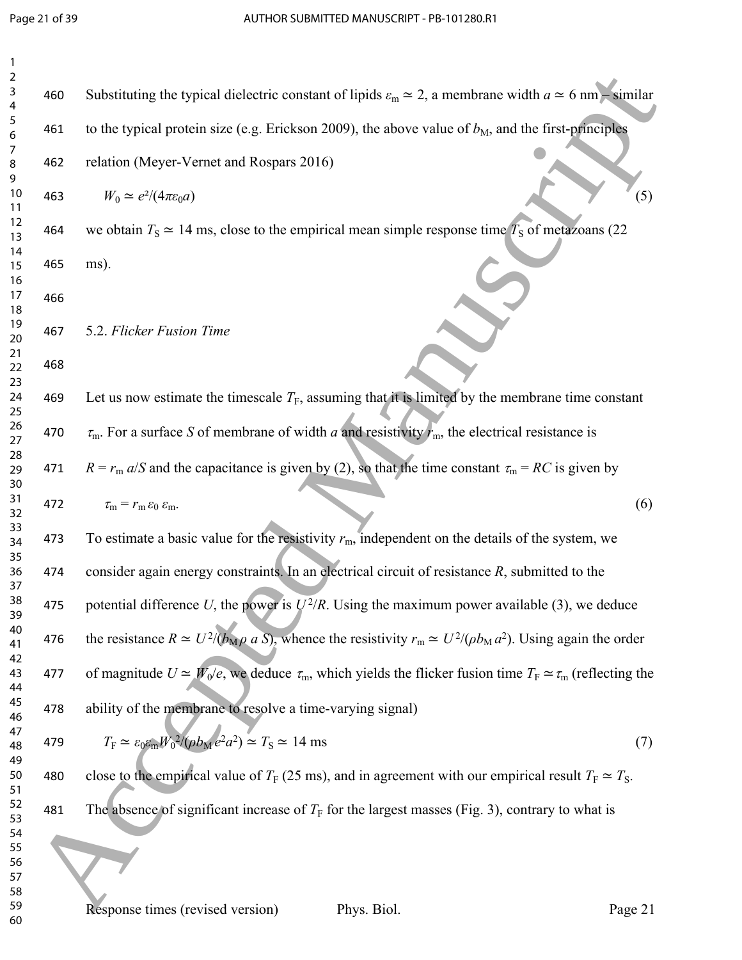| 2<br>3<br>4    | 460 | Substituting the typical dielectric constant of lipids $\varepsilon_m \simeq 2$ , a membrane width $a \simeq 6$ nm – similar     |
|----------------|-----|----------------------------------------------------------------------------------------------------------------------------------|
| 5<br>6         | 461 | to the typical protein size (e.g. Erickson 2009), the above value of $bM$ , and the first-principles                             |
| 7<br>8<br>9    | 462 | relation (Meyer-Vernet and Rospars 2016)                                                                                         |
| $10\,$<br>11   | 463 | $W_0 \simeq e^2/(4\pi\varepsilon_0 a)$<br>(5)                                                                                    |
| 12<br>13<br>14 | 464 | we obtain $T_s \approx 14$ ms, close to the empirical mean simple response time $T_s$ of metazoans (22)                          |
| 15<br>16       | 465 | ms).                                                                                                                             |
| 17<br>18       | 466 |                                                                                                                                  |
| 19<br>20<br>21 | 467 | 5.2. Flicker Fusion Time                                                                                                         |
| 22<br>23       | 468 |                                                                                                                                  |
| 24<br>25       | 469 | Let us now estimate the timescale $T_F$ , assuming that it is limited by the membrane time constant                              |
| 26<br>27<br>28 | 470 | $\tau_{\rm m}$ . For a surface S of membrane of width a and resistivity $r_{\rm m}$ , the electrical resistance is               |
| 29<br>30       | 471 | $R = r_m a/S$ and the capacitance is given by (2), so that the time constant $\tau_m = RC$ is given by                           |
| 31<br>32       | 472 | (6)<br>$\tau_{\rm m} = r_{\rm m} \varepsilon_0 \varepsilon_{\rm m}.$                                                             |
| 33<br>34<br>35 | 473 | To estimate a basic value for the resistivity $r_m$ , independent on the details of the system, we                               |
| 36<br>37       | 474 | consider again energy constraints. In an electrical circuit of resistance $R$ , submitted to the                                 |
| 38<br>39       | 475 | potential difference U, the power is $U^2/R$ . Using the maximum power available (3), we deduce                                  |
| 40<br>41<br>42 | 476 | the resistance $R \simeq U^2/(b_M \rho a S)$ , whence the resistivity $r_m \simeq U^2/(\rho b_M a^2)$ . Using again the order    |
| 43<br>44       | 477 | of magnitude $U \simeq W_0/e$ , we deduce $\tau_m$ , which yields the flicker fusion time $T_F \simeq \tau_m$ (reflecting the    |
| 45<br>46<br>47 | 478 | ability of the membrane to resolve a time-varying signal)                                                                        |
| 48<br>49       | 479 | $T_{\rm F} \simeq \varepsilon_0 \varepsilon_{\rm m} W_0^2/(\rho b_{\rm M} e^2 a^2) \simeq T_{\rm S} \simeq 14 \text{ ms}$<br>(7) |
| 50<br>51       | 480 | close to the empirical value of $T_F$ (25 ms), and in agreement with our empirical result $T_F \simeq T_S$ .                     |
| 52<br>53<br>54 | 481 | The absence of significant increase of $T_F$ for the largest masses (Fig. 3), contrary to what is                                |
| 55<br>56<br>57 |     |                                                                                                                                  |
| 58<br>59<br>60 |     | Response times (revised version)<br>Phys. Biol.<br>Page 21                                                                       |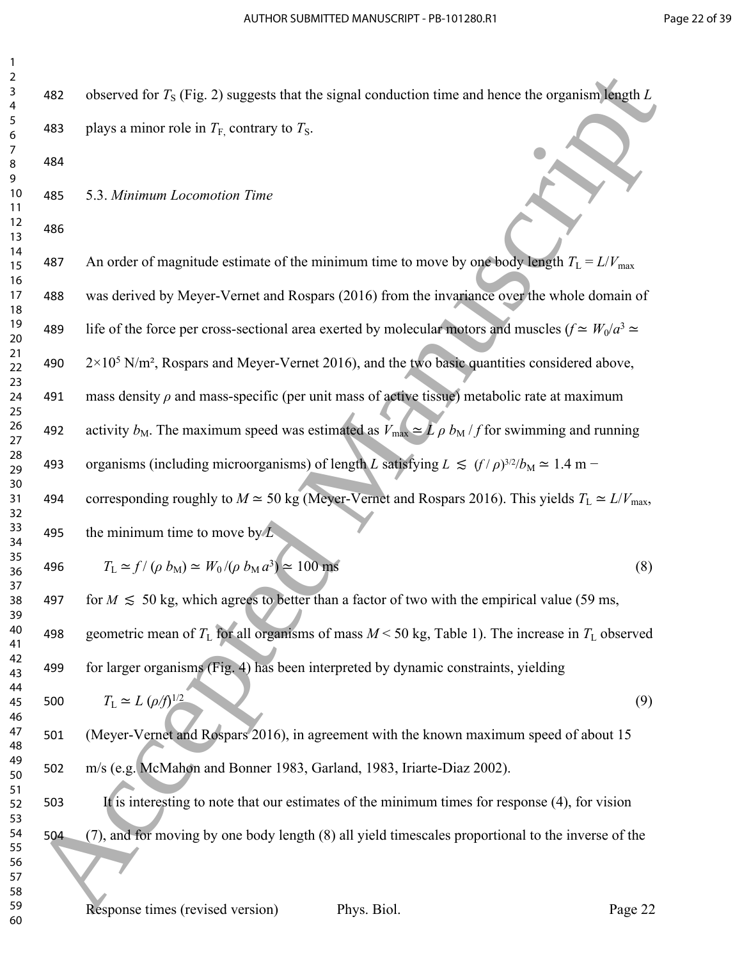| 1<br>2                    |                              |
|---------------------------|------------------------------|
| 3<br>4                    | 48                           |
| 5<br>6                    | 48                           |
| 7<br>8                    | 48                           |
| 9                         |                              |
| 10<br>11                  | 48                           |
| 1<br>$\overline{2}$<br>13 | 48                           |
| 14<br>15<br>16            | 48                           |
| 17<br>18                  | 48                           |
| 19<br>20                  | 48                           |
| 21<br>22                  | 49                           |
| 23<br>24                  | 49                           |
| 25<br>26<br>27            | 49                           |
| 28<br>29                  | 49                           |
| 30<br>31                  | 49                           |
| 32<br>33                  |                              |
| 34<br>35                  | 49                           |
| 36<br>37                  | 49                           |
| 38<br>39                  | $\mathsf{a}$<br>$\mathbf{A}$ |
| 40<br>41                  | 49                           |
| 42<br>43                  | 49                           |
| 44<br>45                  | 50                           |
| 46<br>47                  | 50                           |
| 48<br>49                  | 50                           |
| 50<br>51                  |                              |
| 52<br>53                  | 50                           |
| 54<br>55                  | 50                           |
| 56                        |                              |
| 57<br>58                  |                              |

| 2<br>3         | 482 | observed for $T_s$ (Fig. 2) suggests that the signal conduction time and hence the organism length L                                         |     |
|----------------|-----|----------------------------------------------------------------------------------------------------------------------------------------------|-----|
| 4              |     |                                                                                                                                              |     |
| 5<br>6<br>7    | 483 | plays a minor role in $T_{\text{F}_1}$ contrary to $T_{\text{S}_1}$ .                                                                        |     |
| 8<br>9         | 484 |                                                                                                                                              |     |
| 10<br>11       | 485 | 5.3. Minimum Locomotion Time                                                                                                                 |     |
| 12<br>13       | 486 |                                                                                                                                              |     |
| 14<br>15<br>16 | 487 | An order of magnitude estimate of the minimum time to move by one body length $T_L = L/V_{max}$                                              |     |
| 17<br>18       | 488 | was derived by Meyer-Vernet and Rospars (2016) from the invariance over the whole domain of                                                  |     |
| 19<br>20       | 489 | life of the force per cross-sectional area exerted by molecular motors and muscles $(f \simeq W_0/a^3 \simeq$                                |     |
| 21<br>22       | 490 | $2 \times 10^5$ N/m <sup>2</sup> , Rospars and Meyer-Vernet 2016), and the two basic quantities considered above,                            |     |
| 23<br>24       | 491 | mass density $\rho$ and mass-specific (per unit mass of active tissue) metabolic rate at maximum                                             |     |
| 25<br>26<br>27 | 492 | activity $b_M$ . The maximum speed was estimated as $\overline{V}_{\text{max}} \simeq \overline{L} \rho \, b_M / f$ for swimming and running |     |
| 28<br>29       | 493 | organisms (including microorganisms) of length L satisfying $L \le (f/\rho)^{3/2}/b_M \simeq 1.4$ m –                                        |     |
| 30<br>31<br>32 | 494 | corresponding roughly to $M \approx 50$ kg (Meyer-Vernet and Rospars 2016). This yields $T_L \approx L/V_{\text{max}}$ ,                     |     |
| 33<br>34       | 495 | the minimum time to move by $\overline{L}$ .                                                                                                 |     |
| 35<br>36       | 496 | $T_{\rm L} \simeq f / (\rho \, b_{\rm M}) \simeq W_0 / (\rho \, b_{\rm M} a^3) \simeq 100 \text{ ms}$                                        | (8) |
| 37<br>38<br>39 | 497 | for $M \le 50$ kg, which agrees to better than a factor of two with the empirical value (59 ms,                                              |     |
| 40<br>41       | 498 | geometric mean of $T_L$ for all organisms of mass $M < 50$ kg, Table 1). The increase in $T_L$ observed                                      |     |
| 42<br>43       | 499 | for larger organisms (Fig. 4) has been interpreted by dynamic constraints, yielding                                                          |     |
| 44<br>45       | 500 | $T_{\rm L} \simeq L \ (\rho/f)^{1/2}$                                                                                                        | (9) |
| 46<br>47<br>48 | 501 | (Meyer-Vernet and Rospars 2016), in agreement with the known maximum speed of about 15                                                       |     |
| 49<br>50       | 502 | m/s (e.g. McMahon and Bonner 1983, Garland, 1983, Iriarte-Diaz 2002).                                                                        |     |
| 51<br>52       | 503 | It is interesting to note that our estimates of the minimum times for response (4), for vision                                               |     |
| 53<br>54       | 504 | (7), and for moving by one body length (8) all yield timescales proportional to the inverse of the                                           |     |
| 55<br>56<br>57 |     |                                                                                                                                              |     |
| 58             |     |                                                                                                                                              |     |
| 59<br>60       |     | Response times (revised version)<br>Phys. Biol.<br>Page 22                                                                                   |     |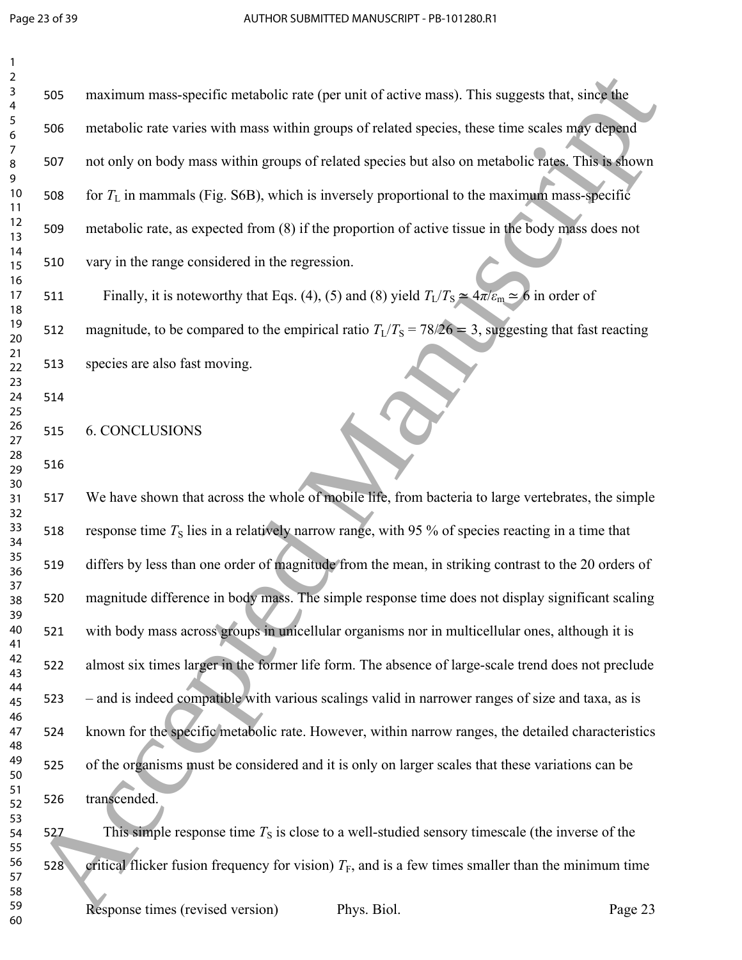| $\mathbf{1}$                            |     |                                                                                                                     |
|-----------------------------------------|-----|---------------------------------------------------------------------------------------------------------------------|
| $\mathbf 2$<br>3<br>$\overline{4}$      | 505 | maximum mass-specific metabolic rate (per unit of active mass). This suggests that, since the                       |
| 5<br>6                                  | 506 | metabolic rate varies with mass within groups of related species, these time scales may depend                      |
| $\overline{7}$<br>$\, 8$<br>$\mathsf 9$ | 507 | not only on body mass within groups of related species but also on metabolic rates. This is shown                   |
| 10<br>11                                | 508 | for $T_L$ in mammals (Fig. S6B), which is inversely proportional to the maximum mass-specific                       |
| 12<br>13                                | 509 | metabolic rate, as expected from (8) if the proportion of active tissue in the body mass does not                   |
| 14<br>15<br>16                          | 510 | vary in the range considered in the regression.                                                                     |
| 17<br>18                                | 511 | Finally, it is noteworthy that Eqs. (4), (5) and (8) yield $T_L/T_S \simeq 4\pi/\varepsilon_m \simeq 6$ in order of |
| 19<br>20                                | 512 | magnitude, to be compared to the empirical ratio $T_L/T_S = 78/26 = 3$ , suggesting that fast reacting              |
| 21<br>22                                | 513 | species are also fast moving.                                                                                       |
| 23<br>24<br>25                          | 514 |                                                                                                                     |
| 26<br>27                                | 515 | <b>6. CONCLUSIONS</b>                                                                                               |
| 28<br>29                                | 516 |                                                                                                                     |
| 30<br>31<br>32                          | 517 | We have shown that across the whole of mobile life, from bacteria to large vertebrates, the simple                  |
| 33<br>34                                | 518 | response time $T_s$ lies in a relatively narrow range, with 95 % of species reacting in a time that                 |
| 35<br>36                                | 519 | differs by less than one order of magnitude from the mean, in striking contrast to the 20 orders of                 |
| 37<br>38<br>39                          | 520 | magnitude difference in body mass. The simple response time does not display significant scaling                    |
| 40<br>41                                | 521 | with body mass across groups in unicellular organisms nor in multicellular ones, although it is                     |
| 42<br>43                                | 522 | almost six times larger in the former life form. The absence of large-scale trend does not preclude                 |
| 44<br>45<br>46                          | 523 | - and is indeed compatible with various scalings valid in narrower ranges of size and taxa, as is                   |
| 47<br>48                                | 524 | known for the specific metabolic rate. However, within narrow ranges, the detailed characteristics                  |
| 49<br>50                                | 525 | of the organisms must be considered and it is only on larger scales that these variations can be                    |
| 51<br>52                                | 526 | transcended.                                                                                                        |
| 53<br>54<br>55                          | 527 | This simple response time $T_s$ is close to a well-studied sensory timescale (the inverse of the                    |
| 56<br>57                                | 528 | critical flicker fusion frequency for vision) $T_F$ , and is a few times smaller than the minimum time              |
| 58<br>59<br>60                          |     | Response times (revised version)<br>Phys. Biol.<br>Page 23                                                          |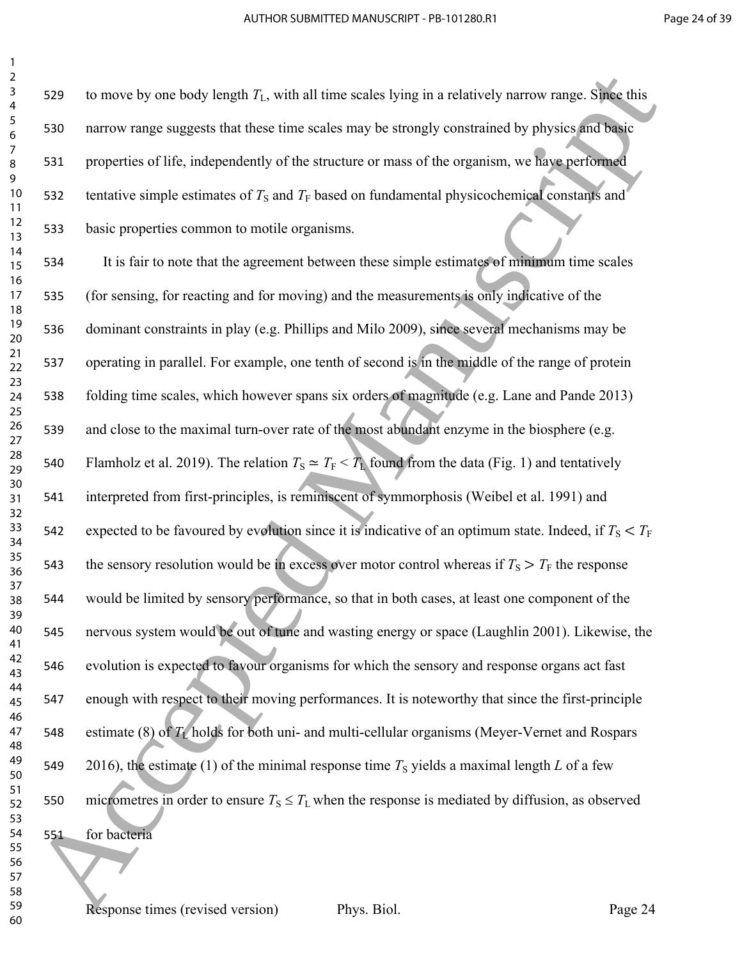| $\overline{\mathbf{c}}$ |     |                                                          |
|-------------------------|-----|----------------------------------------------------------|
| 3                       | 529 | to move by one body length $T_L$ , with all time s       |
| 4<br>5                  |     |                                                          |
| 6                       | 530 | narrow range suggests that these time scales m           |
| 7                       | 531 | properties of life, independently of the structure       |
| 8<br>9                  |     |                                                          |
| $10\,$                  | 532 | tentative simple estimates of $T_s$ and $T_F$ based of   |
| 11                      |     |                                                          |
| 12<br>13                | 533 | basic properties common to motile organisms.             |
| 14                      |     |                                                          |
| 15                      | 534 | It is fair to note that the agreement between            |
| 16                      |     |                                                          |
| 17<br>18                | 535 | (for sensing, for reacting and for moving) and           |
| 19                      | 536 | dominant constraints in play (e.g. Phillips and          |
| 20                      |     |                                                          |
| 21<br>22                | 537 | operating in parallel. For example, one tenth of         |
| 23                      |     |                                                          |
| 24                      | 538 | folding time scales, which however spans six of          |
| 25                      |     |                                                          |
| 26<br>27                | 539 | and close to the maximal turn-over rate of the           |
| 28                      |     |                                                          |
| 29                      | 540 | Flamholz et al. 2019). The relation $T_s \simeq T_F < 1$ |
| 30<br>31                | 541 | interpreted from first-principles, is reminiscent        |
| 32                      |     |                                                          |
| 33                      | 542 | expected to be favoured by evolution since it is         |
| 34                      |     |                                                          |
| 35<br>36                | 543 | the sensory resolution would be in excess over           |
| 37                      |     |                                                          |
| 38                      | 544 | would be limited by sensory performance, so the          |
| 39<br>40                |     |                                                          |
| 41                      | 545 | nervous system would be out of tune and wasti            |
| 42                      | 546 | evolution is expected to favour organisms for v          |
| 43                      |     |                                                          |
| 44<br>45                | 547 | enough with respect to their moving performar            |
| 46                      |     |                                                          |
| 47                      | 548 | estimate (8) of $T_L$ holds for both uni- and mult       |
| 48                      |     |                                                          |
| 49<br>50                | 549 | $2016$ ), the estimate $(1)$ of the minimal response     |
| 51                      |     |                                                          |
| 52                      | 550 | micrometres in order to ensure $T_s \leq T_L$ when the   |
| 53<br>54                | 551 | for bacteria                                             |
| 55                      |     |                                                          |
| 56                      |     |                                                          |
| 57<br>58                |     |                                                          |
|                         |     |                                                          |

by one body length  $T_L$ , with all time scales lying in a relatively narrow range. Since this range suggests that these time scales may be strongly constrained by physics and basic es of life, independently of the structure or mass of the organism, we have performed  $\epsilon$  simple estimates of  $T_S$  and  $T_F$  based on fundamental physicochemical constants and

fair to note that the agreement between these simple estimates of minimum time scales sing, for reacting and for moving) and the measurements is only indicative of the of the several mechanisms in play (e.g. Phillips and Milo 2009), since several mechanisms may be g in parallel. For example, one tenth of second is in the middle of the range of protein time scales, which however spans six orders of magnitude (e.g. Lane and Pande 2013) se to the maximal turn-over rate of the most abundant enzyme in the biosphere (e.g. et al. 2019). The relation  $T_S \simeq T_F < T_L$  found from the data (Fig. 1) and tentatively ted from first-principles, is reminiscent of symmorphosis (Weibel et al. 1991) and 542 to be favoured by evolution since it is indicative of an optimum state. Indeed, if  $T_S < T_F$ ory resolution would be in excess over motor control whereas if  $T_s > T_F$  the response e limited by sensory performance, so that in both cases, at least one component of the system would be out of tune and wasting energy or space (Laughlin 2001). Likewise, the n is expected to favour organisms for which the sensory and response organs act fast with respect to their moving performances. It is noteworthy that since the first-principle estimate (8) of *T*L holds for both uni- and multi-cellular organisms (Meyer-Vernet and Rospars the estimate (1) of the minimal response time  $T<sub>S</sub>$  yields a maximal length *L* of a few etres in order to ensure  $T_S \leq T_L$  when the response is mediated by diffusion, as observed eria 23<br>
23 S20 to move by one body bength  $T_1$ , with all time scales bying in a relatively narrow range. Single this<br>
23 S30 narrow range suggests that these time scales roay be strongly constrained by physics for the<br>
23 S4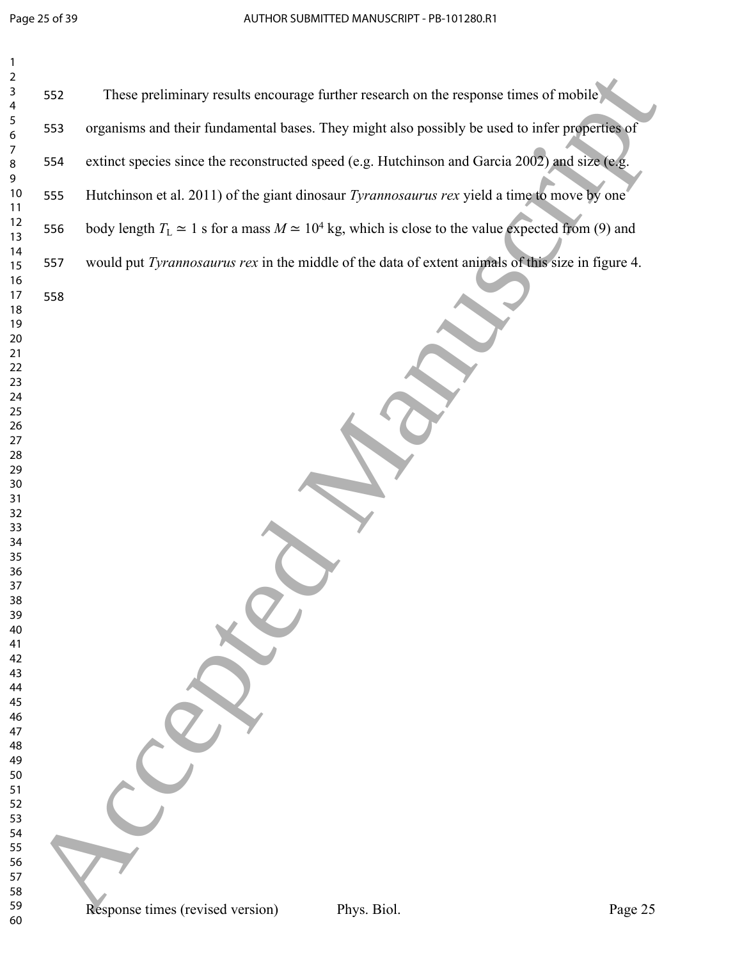| $\mathbf{1}$          |     |                                                                                                               |  |
|-----------------------|-----|---------------------------------------------------------------------------------------------------------------|--|
| $\mathbf 2$<br>3<br>4 | 552 | These preliminary results encourage further research on the response times of mobile                          |  |
| 5<br>6                | 553 | organisms and their fundamental bases. They might also possibly be used to infer properties of                |  |
| $\overline{7}$<br>8   | 554 | extinct species since the reconstructed speed (e.g. Hutchinson and Garcia 2002) and size (e.g.                |  |
| 9<br>10<br>11         | 555 | Hutchinson et al. 2011) of the giant dinosaur Tyrannosaurus rex yield a time to move by one                   |  |
| 12<br>13              | 556 | body length $T_L \simeq 1$ s for a mass $M \simeq 10^4$ kg, which is close to the value expected from (9) and |  |
| 14<br>15              | 557 | would put Tyrannosaurus rex in the middle of the data of extent animals of this size in figure 4.             |  |
| 16<br>17<br>18        | 558 |                                                                                                               |  |
| 19<br>20              |     |                                                                                                               |  |
| $21$<br>22            |     |                                                                                                               |  |
| 23<br>24              |     |                                                                                                               |  |
| 25<br>26              |     |                                                                                                               |  |
| 27<br>28              |     |                                                                                                               |  |
| 29<br>$30\,$          |     |                                                                                                               |  |
| 31<br>32              |     |                                                                                                               |  |
| 33<br>34              |     |                                                                                                               |  |
| 35<br>36<br>37        |     |                                                                                                               |  |
| 38<br>39              |     |                                                                                                               |  |
| 40<br>41              |     |                                                                                                               |  |
| 42<br>43              |     |                                                                                                               |  |
| 44<br>45              |     |                                                                                                               |  |
| 46<br>47              |     |                                                                                                               |  |
| 48<br>49              |     |                                                                                                               |  |
| 50<br>51              |     |                                                                                                               |  |
| 52<br>53              |     |                                                                                                               |  |
| 54<br>55              |     |                                                                                                               |  |
| 56<br>57              |     |                                                                                                               |  |
| 58<br>59              |     | Response times (revised version)<br>Phys. Biol.<br>Page 25                                                    |  |
| 60                    |     |                                                                                                               |  |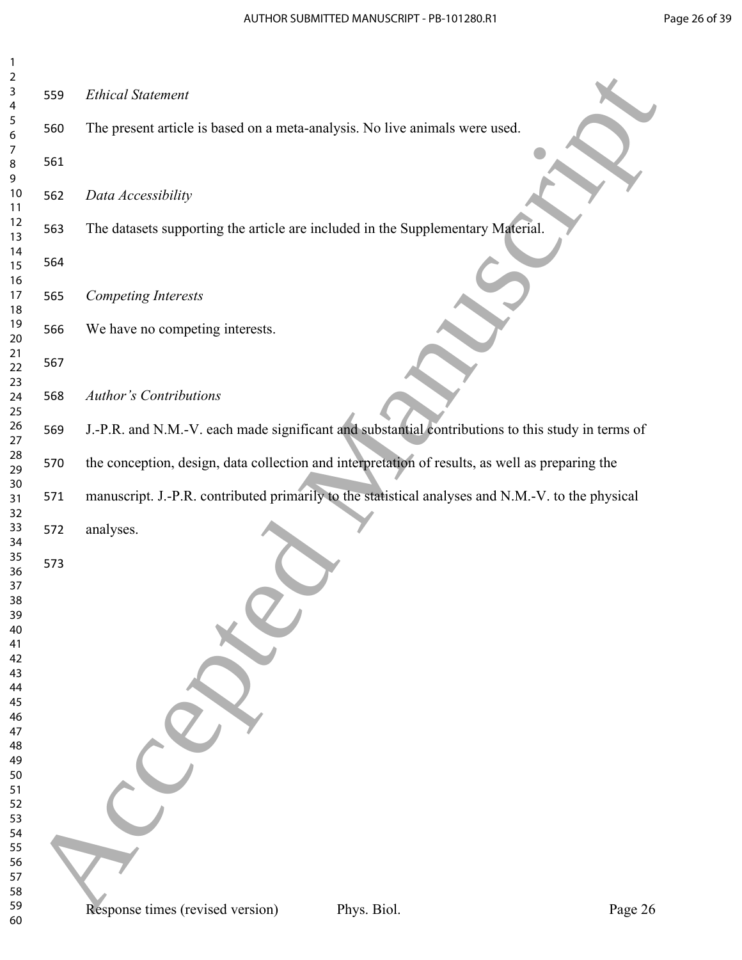| $\overline{c}$   |     |                                                                                                   |             |         |
|------------------|-----|---------------------------------------------------------------------------------------------------|-------------|---------|
| 3<br>4           | 559 | <b>Ethical Statement</b>                                                                          |             |         |
| 5<br>6           | 560 | The present article is based on a meta-analysis. No live animals were used.                       |             |         |
| 7<br>8           | 561 |                                                                                                   |             |         |
| 9<br>10<br>11    | 562 | Data Accessibility                                                                                |             |         |
| 12<br>13         | 563 | The datasets supporting the article are included in the Supplementary Material.                   |             |         |
| 14<br>15<br>16   | 564 |                                                                                                   |             |         |
| $17$<br>18       | 565 | <b>Competing Interests</b>                                                                        |             |         |
| 19<br>20         | 566 | We have no competing interests.                                                                   |             |         |
| $21$<br>22<br>23 | 567 |                                                                                                   |             |         |
| 24<br>25         | 568 | <b>Author's Contributions</b>                                                                     |             |         |
| 26<br>27         | 569 | J.-P.R. and N.M.-V. each made significant and substantial contributions to this study in terms of |             |         |
| 28<br>29<br>30   | 570 | the conception, design, data collection and interpretation of results, as well as preparing the   |             |         |
| 31<br>32         | 571 | manuscript. J.-P.R. contributed primarily to the statistical analyses and N.M.-V. to the physical |             |         |
| 33<br>34         | 572 | analyses.                                                                                         |             |         |
| 35<br>36<br>37   | 573 |                                                                                                   |             |         |
| 38<br>39         |     |                                                                                                   |             |         |
| 40<br>41         |     |                                                                                                   |             |         |
| 42<br>43         |     |                                                                                                   |             |         |
| 44               |     |                                                                                                   |             |         |
| 45<br>46         |     |                                                                                                   |             |         |
| 47               |     |                                                                                                   |             |         |
| 48               |     |                                                                                                   |             |         |
| 49<br>50         |     |                                                                                                   |             |         |
| 51               |     |                                                                                                   |             |         |
| 52               |     |                                                                                                   |             |         |
| 53               |     |                                                                                                   |             |         |
| 54               |     |                                                                                                   |             |         |
| 55<br>56         |     |                                                                                                   |             |         |
| 57               |     |                                                                                                   |             |         |
| 58               |     |                                                                                                   |             |         |
| 59               |     | Response times (revised version)                                                                  | Phys. Biol. | Page 26 |
| 60               |     |                                                                                                   |             |         |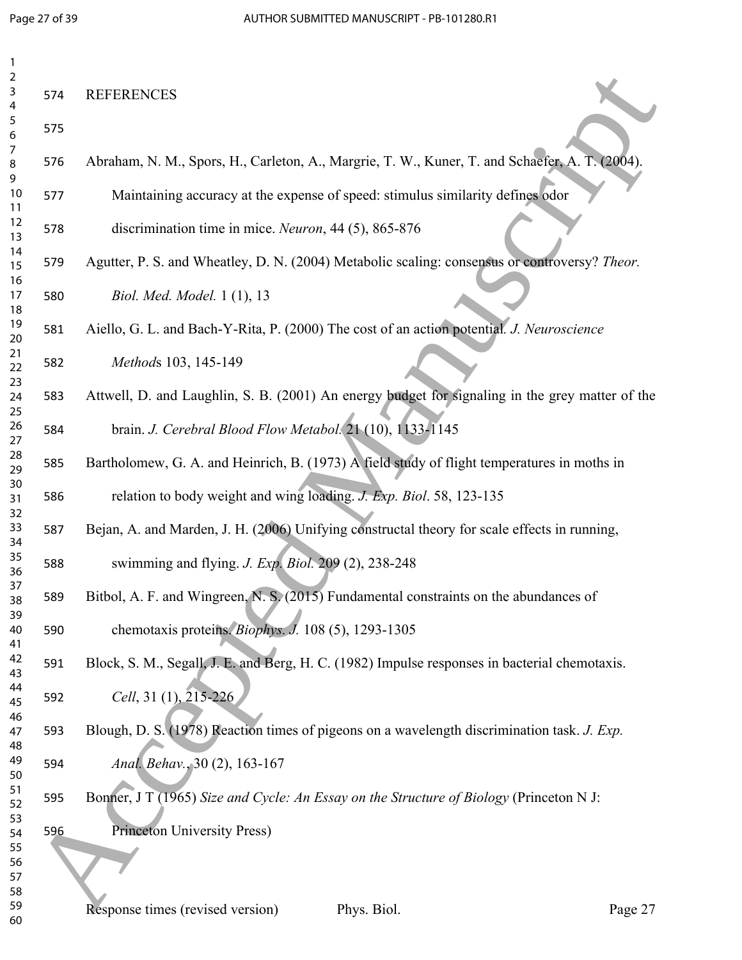| 1              |     |                                                                                                 |         |
|----------------|-----|-------------------------------------------------------------------------------------------------|---------|
| 2<br>3<br>4    | 574 | <b>REFERENCES</b>                                                                               |         |
| 5<br>6         | 575 |                                                                                                 |         |
| 7<br>8<br>9    | 576 | Abraham, N. M., Spors, H., Carleton, A., Margrie, T. W., Kuner, T. and Schaefer, A. T. (2004).  |         |
| $10$<br>11     | 577 | Maintaining accuracy at the expense of speed: stimulus similarity defines odor                  |         |
| 12<br>13       | 578 | discrimination time in mice. Neuron, 44 (5), 865-876                                            |         |
| 14<br>15       | 579 | Agutter, P. S. and Wheatley, D. N. (2004) Metabolic scaling: consensus or controversy? Theor.   |         |
| 16<br>17<br>18 | 580 | Biol. Med. Model. 1 (1), 13                                                                     |         |
| 19<br>20       | 581 | Aiello, G. L. and Bach-Y-Rita, P. (2000) The cost of an action potential. J. Neuroscience       |         |
| 21<br>22       | 582 | Methods 103, 145-149                                                                            |         |
| 23<br>24<br>25 | 583 | Attwell, D. and Laughlin, S. B. (2001) An energy budget for signaling in the grey matter of the |         |
| 26<br>27       | 584 | brain. J. Cerebral Blood Flow Metabol. 21 (10), 1133-1145                                       |         |
| 28<br>29       | 585 | Bartholomew, G. A. and Heinrich, B. (1973) A field study of flight temperatures in moths in     |         |
| 30<br>31<br>32 | 586 | relation to body weight and wing loading. J. Exp. Biol. 58, 123-135                             |         |
| 33<br>34       | 587 | Bejan, A. and Marden, J. H. (2006) Unifying constructal theory for scale effects in running,    |         |
| 35<br>36       | 588 | swimming and flying. J. Exp. Biol. 209 (2), 238-248                                             |         |
| 37<br>38       | 589 | Bitbol, A. F. and Wingreen, N. S. (2015) Fundamental constraints on the abundances of           |         |
| 39<br>40<br>41 | 590 | chemotaxis proteins. Biophys. J. 108 (5), 1293-1305                                             |         |
| 42<br>43       | 591 | Block, S. M., Segall, J. E. and Berg, H. C. (1982) Impulse responses in bacterial chemotaxis.   |         |
| 44<br>45       | 592 | Cell, 31 (1), 215-226                                                                           |         |
| 46<br>47       | 593 | Blough, D. S. (1978) Reaction times of pigeons on a wavelength discrimination task. J. Exp.     |         |
| 48<br>49<br>50 | 594 | Anal. Behav., 30 (2), 163-167                                                                   |         |
| 51<br>52       | 595 | Bonner, J T (1965) Size and Cycle: An Essay on the Structure of Biology (Princeton N J:         |         |
| 53<br>54       | 596 | <b>Princeton University Press)</b>                                                              |         |
| 55<br>56       |     |                                                                                                 |         |
| 57<br>58       |     |                                                                                                 |         |
| 59<br>60       |     | Response times (revised version)<br>Phys. Biol.                                                 | Page 27 |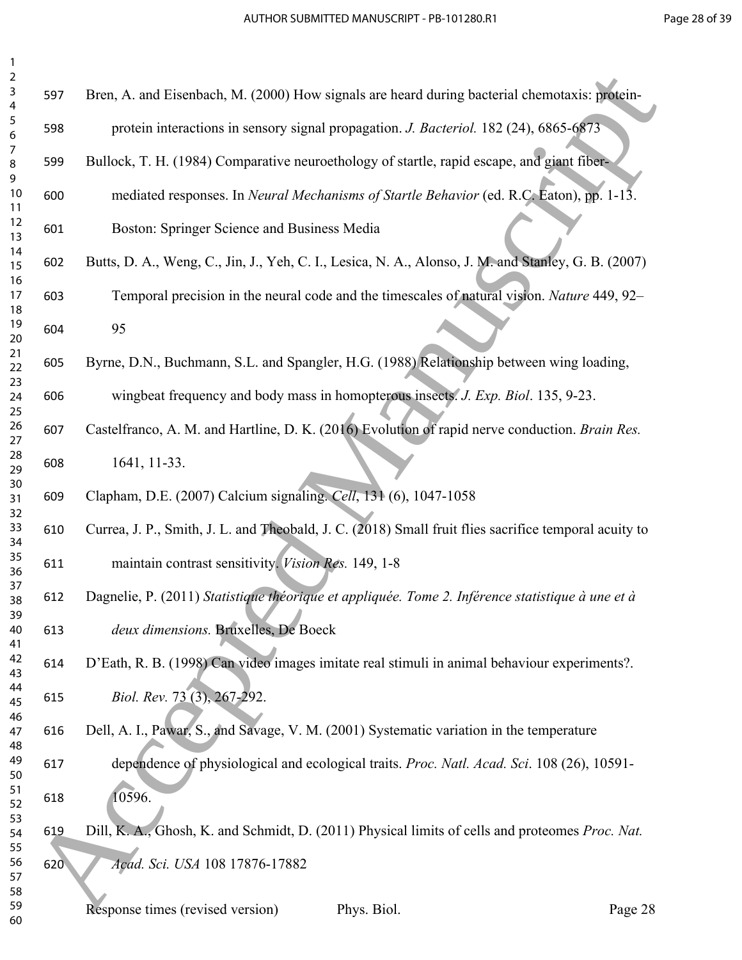| $\overline{2}$<br>$\mathsf{3}$ | 597 | Bren, A. and Eisenbach, M. (2000) How signals are heard during bacterial chemotaxis: protein-         |
|--------------------------------|-----|-------------------------------------------------------------------------------------------------------|
| $\overline{4}$<br>5<br>6       | 598 | protein interactions in sensory signal propagation. J. Bacteriol. 182 (24), 6865-6873                 |
| 7<br>8                         | 599 | Bullock, T. H. (1984) Comparative neuroethology of startle, rapid escape, and giant fiber-            |
| 9<br>10<br>11                  | 600 | mediated responses. In Neural Mechanisms of Startle Behavior (ed. R.C. Eaton), pp. 1-13.              |
| 12<br>13                       | 601 | Boston: Springer Science and Business Media                                                           |
| 14<br>15<br>16                 | 602 | Butts, D. A., Weng, C., Jin, J., Yeh, C. I., Lesica, N. A., Alonso, J. M. and Stanley, G. B. (2007)   |
| 17<br>18                       | 603 | Temporal precision in the neural code and the timescales of natural vision. Nature 449, 92-           |
| 19<br>20                       | 604 | 95                                                                                                    |
| 21<br>22<br>23                 | 605 | Byrne, D.N., Buchmann, S.L. and Spangler, H.G. (1988) Relationship between wing loading,              |
| 24<br>25                       | 606 | wingbeat frequency and body mass in homopterous insects. J. Exp. Biol. 135, 9-23.                     |
| 26<br>27                       | 607 | Castelfranco, A. M. and Hartline, D. K. (2016) Evolution of rapid nerve conduction. Brain Res.        |
| 28<br>29<br>30                 | 608 | 1641, 11-33.                                                                                          |
| 31<br>32                       | 609 | Clapham, D.E. (2007) Calcium signaling. Cell, 131 (6), 1047-1058                                      |
| 33<br>34                       | 610 | Currea, J. P., Smith, J. L. and Theobald, J. C. (2018) Small fruit flies sacrifice temporal acuity to |
| 35<br>36<br>37                 | 611 | maintain contrast sensitivity. Vision Res. 149, 1-8                                                   |
| 38<br>39                       | 612 | Dagnelie, P. (2011) Statistique théorique et appliquée. Tome 2. Inférence statistique à une et à      |
| 40<br>41                       | 613 | deux dimensions. Bruxelles, De Boeck                                                                  |
| 42<br>43<br>44                 | 614 | D'Eath, R. B. (1998) Can video images imitate real stimuli in animal behaviour experiments?.          |
| 45<br>46                       | 615 | Biol. Rev. 73 (3), 267-292.                                                                           |
| 47<br>48                       | 616 | Dell, A. I., Pawar, S., and Savage, V. M. (2001) Systematic variation in the temperature              |
| 49<br>50<br>51                 | 617 | dependence of physiological and ecological traits. Proc. Natl. Acad. Sci. 108 (26), 10591-            |
| 52<br>53                       | 618 | 10596.                                                                                                |
| 54<br>55                       | 619 | Dill, K. A., Ghosh, K. and Schmidt, D. (2011) Physical limits of cells and proteomes Proc. Nat.       |
| 56<br>57<br>58                 | 620 | Acad. Sci. USA 108 17876-17882                                                                        |
| 59<br>60                       |     | Response times (revised version)<br>Phys. Biol.<br>Page 28                                            |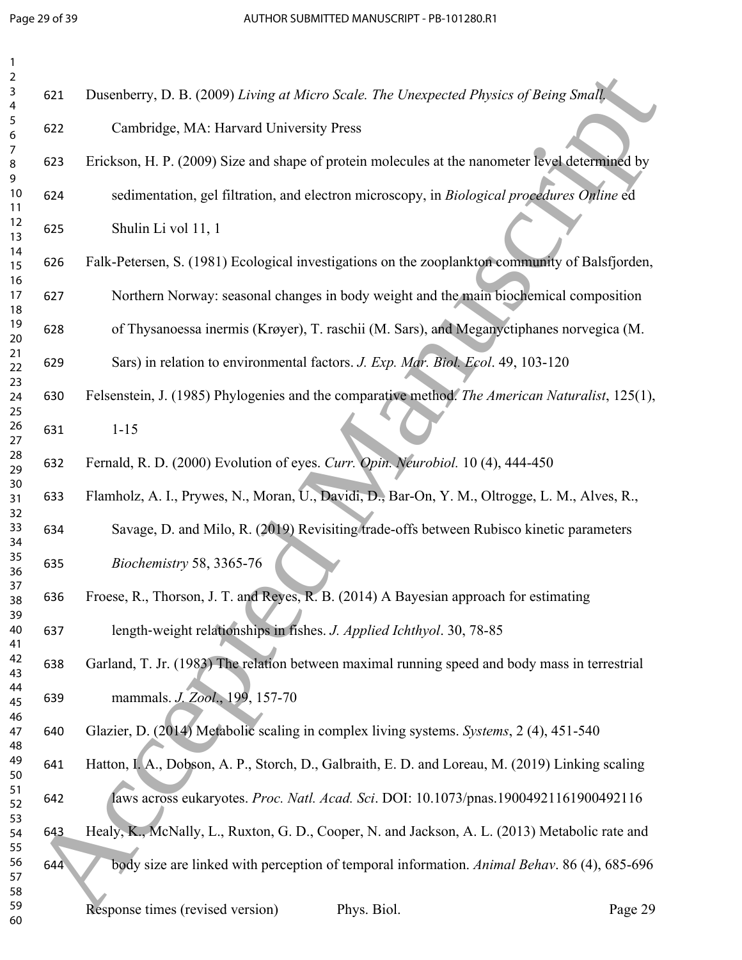| $\overline{2}$<br>3<br>$\overline{4}$ | 621 | Dusenberry, D. B. (2009) Living at Micro Scale. The Unexpected Physics of Being Small.           |
|---------------------------------------|-----|--------------------------------------------------------------------------------------------------|
| 5<br>6                                | 622 | Cambridge, MA: Harvard University Press                                                          |
| 7<br>8<br>9                           | 623 | Erickson, H. P. (2009) Size and shape of protein molecules at the nanometer level determined by  |
| 10<br>11                              | 624 | sedimentation, gel filtration, and electron microscopy, in Biological procedures Online ed       |
| 12<br>13                              | 625 | Shulin Li vol 11, 1                                                                              |
| 14<br>15                              | 626 | Falk-Petersen, S. (1981) Ecological investigations on the zooplankton community of Balsfjorden,  |
| 16<br>17<br>18                        | 627 | Northern Norway: seasonal changes in body weight and the main biochemical composition            |
| 19<br>20                              | 628 | of Thysanoessa inermis (Krøyer), T. raschii (M. Sars), and Meganyctiphanes norvegica (M.         |
| 21<br>22                              | 629 | Sars) in relation to environmental factors. J. Exp. Mar. Biol. Ecol. 49, 103-120                 |
| 23<br>24<br>25                        | 630 | Felsenstein, J. (1985) Phylogenies and the comparative method. The American Naturalist, 125(1),  |
| 26<br>27                              | 631 | $1 - 15$                                                                                         |
| 28<br>29                              | 632 | Fernald, R. D. (2000) Evolution of eyes. Curr. Opin. Neurobiol. 10 (4), 444-450                  |
| 30<br>31<br>32                        | 633 | Flamholz, A. I., Prywes, N., Moran, U., Davidi, D., Bar-On, Y. M., Oltrogge, L. M., Alves, R.,   |
| 33<br>34                              | 634 | Savage, D. and Milo, R. (2019) Revisiting trade-offs between Rubisco kinetic parameters          |
| 35<br>36                              | 635 | Biochemistry 58, 3365-76                                                                         |
| 37<br>38<br>39                        | 636 | Froese, R., Thorson, J. T. and Reyes, R. B. (2014) A Bayesian approach for estimating            |
| 40<br>41                              | 637 | length-weight relationships in fishes. J. Applied Ichthyol. 30, 78-85                            |
| 42<br>43                              | 638 | Garland, T. Jr. (1983) The relation between maximal running speed and body mass in terrestrial   |
| 44<br>45<br>46                        | 639 | mammals. J. Zool., 199, 157-70                                                                   |
| 47<br>48                              | 640 | Glazier, D. (2014) Metabolic scaling in complex living systems. Systems, 2 (4), 451-540          |
| 49<br>50                              | 641 | Hatton, I. A., Dobson, A. P., Storch, D., Galbraith, E. D. and Loreau, M. (2019) Linking scaling |
| 51<br>52                              | 642 | laws across eukaryotes. Proc. Natl. Acad. Sci. DOI: 10.1073/pnas.19004921161900492116            |
| 53<br>54<br>55                        | 643 | Healy, K., McNally, L., Ruxton, G. D., Cooper, N. and Jackson, A. L. (2013) Metabolic rate and   |
| 56<br>57                              | 644 | body size are linked with perception of temporal information. Animal Behav. 86 (4), 685-696      |
| 58<br>59<br>60                        |     | Response times (revised version)<br>Phys. Biol.<br>Page 29                                       |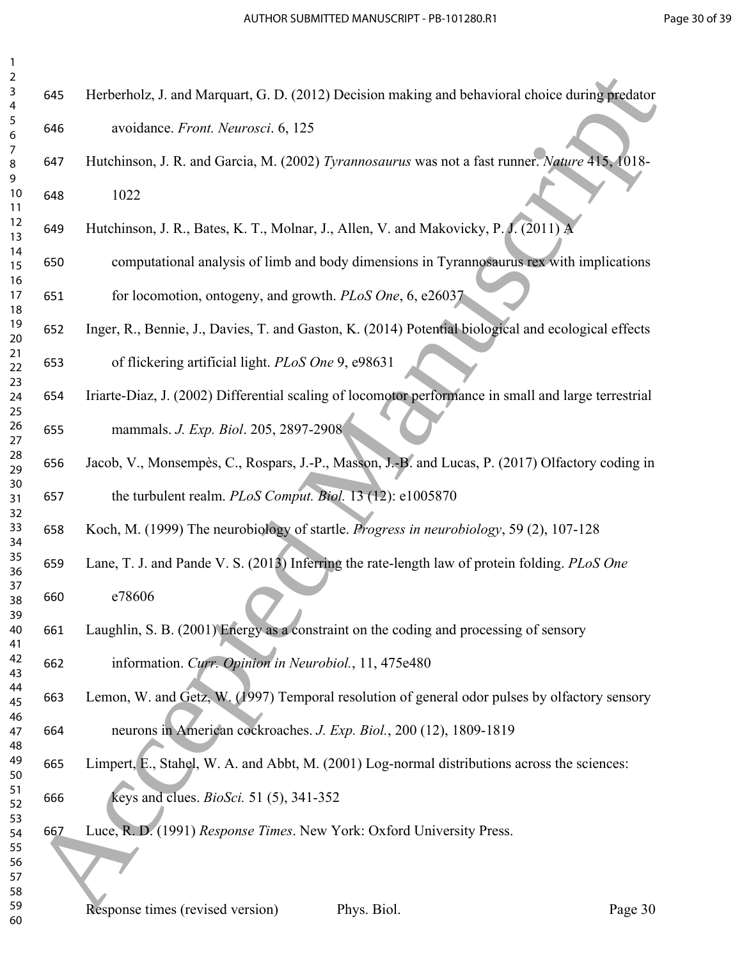| 2               |  |
|-----------------|--|
| 3               |  |
| 4               |  |
| 5               |  |
| 6               |  |
|                 |  |
|                 |  |
| 8               |  |
| 9               |  |
| 10              |  |
| 11              |  |
| $\overline{12}$ |  |
| 13              |  |
| $\overline{14}$ |  |
| 15              |  |
| 16              |  |
| 1               |  |
|                 |  |
| 18              |  |
| 19              |  |
| 20              |  |
| 21              |  |
| $^{22}$         |  |
| 23              |  |
| 24              |  |
| 25              |  |
| 26              |  |
| 27              |  |
|                 |  |
| 28              |  |
| 29              |  |
| 30              |  |
| $\overline{31}$ |  |
| $\overline{32}$ |  |
| 33              |  |
| 34              |  |
| 35              |  |
| 36              |  |
| 37              |  |
|                 |  |
| 38              |  |
| 39              |  |
| 40              |  |
| 41              |  |
| 42              |  |
| 43              |  |
| 44              |  |
| 45              |  |
| 46              |  |
| 47              |  |
| 48              |  |
|                 |  |
| 49              |  |
| 50              |  |
| 51              |  |
| 52              |  |
| 53              |  |
| 54              |  |
| 55              |  |
| 56              |  |
| 57              |  |
|                 |  |
| 58              |  |

| 645 | Herberholz, J. and Marquart, G. D. (2012) Decision making and behavioral choice during predator |  |
|-----|-------------------------------------------------------------------------------------------------|--|
|     |                                                                                                 |  |
| 646 | avoidance. Front. Neurosci. 6, 125                                                              |  |

- Hutchinson, J. R. and Garcia, M. (2002) *Tyrannosaurus* was not a fast runner. *Nature* 415, 1018- 1022
- Hutchinson, J. R., Bates, K. T., Molnar, J., Allen, V. and Makovicky, P. J. (2011) A
- computational analysis of limb and body dimensions in Tyrannosaurus rex with implications for locomotion, ontogeny, and growth. *PLoS One*, 6, e26037 24<br>
16 Accepted Manuscript (i. 10. (2012) Decision making and between the distribution<br>
5 Accepted Manuscript (i. 12<br>
16 Accepted Manuscript (i. 12<br>
16 Accepted Manuscript (i. 12<br>
16 Accepted Manuscript (i. 12<br>
17 Accepte

Inger, R., Bennie, J., Davies, T. and Gaston, K. (2014) Potential biological and ecological effects

- of flickering artificial light. *PLoS One* 9, e98631
- Iriarte-Diaz, J. (2002) Differential scaling of locomotor performance in small and large terrestrial mammals. *J. Exp. Biol*. 205, 2897-2908
- Jacob, V., Monsempès, C., Rospars, J.-P., Masson, J.-B. and Lucas, P. (2017) Olfactory coding in the turbulent realm. *PLoS Comput. Biol.* 13 (12): e1005870
- Koch, M. (1999) The neurobiology of startle. *Progress in neurobiology*, 59 (2), 107-128
- Lane, T. J. and Pande V. S. (2013) Inferring the rate-length law of protein folding. *PLoS One* e78606
- Laughlin, S. B. (2001) Energy as a constraint on the coding and processing of sensory
- information. *Curr. Opinion in Neurobiol.*, 11, 475e480
- Lemon, W. and Getz, W. (1997) Temporal resolution of general odor pulses by olfactory sensory neurons in American cockroaches. *J. Exp. Biol.*, 200 (12), 1809-1819
- Limpert, E., Stahel, W. A. and Abbt, M. (2001) Log-normal distributions across the sciences:
- keys and clues. *BioSci.* 51 (5), 341-352
- Luce, R. D. (1991) *Response Times*. New York: Oxford University Press.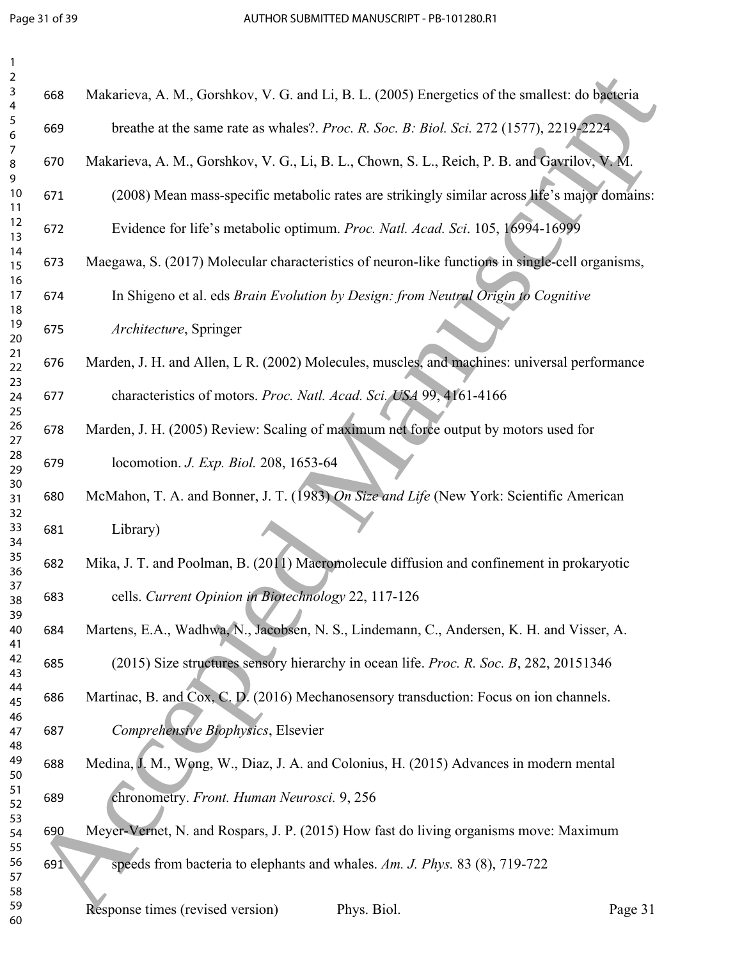| 2<br>3<br>Makarieva, A. M., Gorshkov, V. G. and Li, B. L. (2005) Energetics of the smallest: do bacteria<br>668<br>4 |                           |
|----------------------------------------------------------------------------------------------------------------------|---------------------------|
|                                                                                                                      |                           |
| 5<br>breathe at the same rate as whales?. Proc. R. Soc. B: Biol. Sci. 272 (1577), 2219-2224<br>669<br>6              |                           |
| 7<br>Makarieva, A. M., Gorshkov, V. G., Li, B. L., Chown, S. L., Reich, P. B. and Gavrilov, V. M.<br>670<br>8        |                           |
| 9<br>10<br>(2008) Mean mass-specific metabolic rates are strikingly similar across life's major domain<br>671<br>11  |                           |
| 12<br>Evidence for life's metabolic optimum. Proc. Natl. Acad. Sci. 105, 16994-16999<br>672<br>13                    |                           |
| 14<br>Maegawa, S. (2017) Molecular characteristics of neuron-like functions in single-cell organisms.<br>673<br>15   |                           |
| 16<br>$17$<br>In Shigeno et al. eds Brain Evolution by Design: from Neutral Origin to Cognitive<br>674<br>18         |                           |
| 19<br>Architecture, Springer<br>675<br>20                                                                            |                           |
| 21<br>Marden, J. H. and Allen, L R. (2002) Molecules, muscles, and machines: universal performance<br>676<br>22      |                           |
| 23<br>characteristics of motors. Proc. Natl. Acad. Sci. USA 99, 4161-4166<br>24<br>677                               |                           |
| 25<br>26<br>Marden, J. H. (2005) Review: Scaling of maximum net force output by motors used for<br>678<br>27         |                           |
| 28<br>locomotion. <i>J. Exp. Biol.</i> 208, 1653-64<br>679<br>29                                                     |                           |
| 30<br>McMahon, T. A. and Bonner, J. T. (1983) On Size and Life (New York: Scientific American<br>680<br>31           |                           |
| 32<br>33<br>Library)<br>681<br>34                                                                                    |                           |
| 35<br>Mika, J. T. and Poolman, B. (2011) Macromolecule diffusion and confinement in prokaryotic<br>682<br>36         |                           |
| 37<br>cells. Current Opinion in Biotechnology 22, 117-126<br>683<br>38                                               |                           |
| 39<br>Martens, E.A., Wadhwa, N., Jacobsen, N. S., Lindemann, C., Andersen, K. H. and Visser, A.<br>40<br>684<br>41   |                           |
| 42<br>(2015) Size structures sensory hierarchy in ocean life. Proc. R. Soc. B, 282, 20151346<br>685<br>43            |                           |
| 44<br>Martinac, B. and Cox, C. D. (2016) Mechanosensory transduction: Focus on ion channels.<br>686<br>45            |                           |
| 46<br>Comprehensive Biophysics, Elsevier<br>687<br>47<br>48                                                          |                           |
| 49<br>Medina, J. M., Wong, W., Diaz, J. A. and Colonius, H. (2015) Advances in modern mental<br>688<br>50            |                           |
| 51<br>chronometry. Front. Human Neurosci. 9, 256<br>689<br>52                                                        |                           |
| 53<br>Meyer-Vernet, N. and Rospars, J. P. (2015) How fast do living organisms move: Maximum<br>690<br>54             |                           |
| 55<br>56<br>speeds from bacteria to elephants and whales. Am. J. Phys. 83 (8), 719-722<br>691<br>57                  |                           |
| 58<br>59<br>Response times (revised version)<br>Phys Biol                                                            | $P$ <i>a</i> $\sigma$ $e$ |

| 2<br>3         |     |                                                                                                 |  |
|----------------|-----|-------------------------------------------------------------------------------------------------|--|
| 4              | 668 | Makarieva, A. M., Gorshkov, V. G. and Li, B. L. (2005) Energetics of the smallest: do bacteria  |  |
| 5<br>6         | 669 | breathe at the same rate as whales?. Proc. R. Soc. B: Biol. Sci. 272 (1577), 2219-2224.         |  |
| 7<br>8<br>9    | 670 | Makarieva, A. M., Gorshkov, V. G., Li, B. L., Chown, S. L., Reich, P. B. and Gavrilov, V. M.    |  |
| $10$<br>11     | 671 | (2008) Mean mass-specific metabolic rates are strikingly similar across life's major domains:   |  |
| 12<br>13       | 672 | Evidence for life's metabolic optimum. Proc. Natl. Acad. Sci. 105, 16994-16999                  |  |
| 14<br>15       | 673 | Maegawa, S. (2017) Molecular characteristics of neuron-like functions in single-cell organisms, |  |
| 16<br>17<br>18 | 674 | In Shigeno et al. eds Brain Evolution by Design: from Neutral Origin to Cognitive               |  |
| 19<br>20       | 675 | Architecture, Springer                                                                          |  |
| 21<br>22       | 676 | Marden, J. H. and Allen, L R. (2002) Molecules, muscles, and machines: universal performance    |  |
| 23<br>24<br>25 | 677 | characteristics of motors. Proc. Natl. Acad. Sci. USA 99, 4161-4166                             |  |
| 26<br>27       | 678 | Marden, J. H. (2005) Review: Scaling of maximum net force output by motors used for             |  |
| 28<br>29       | 679 | locomotion. <i>J. Exp. Biol.</i> 208, 1653-64                                                   |  |
| 30<br>31<br>32 | 680 | McMahon, T. A. and Bonner, J. T. (1983) On Size and Life (New York: Scientific American         |  |
| 33<br>34       | 681 | Library)                                                                                        |  |
| 35<br>36       | 682 | Mika, J. T. and Poolman, B. (2011) Macromolecule diffusion and confinement in prokaryotic       |  |
| 37<br>38<br>39 | 683 | cells. Current Opinion in Biotechnology 22, 117-126                                             |  |
| 40<br>41       | 684 | Martens, E.A., Wadhwa, N., Jacobsen, N. S., Lindemann, C., Andersen, K. H. and Visser, A.       |  |
| 42<br>43       | 685 | (2015) Size structures sensory hierarchy in ocean life. Proc. R. Soc. B, 282, 20151346          |  |
| 44<br>45<br>46 | 686 | Martinac, B. and Cox, C. D. (2016) Mechanosensory transduction: Focus on ion channels.          |  |
| 47<br>48       | 687 | Comprehensive Biophysics, Elsevier                                                              |  |
| 49<br>50       | 688 | Medina, I. M., Wong, W., Diaz, J. A. and Colonius, H. (2015) Advances in modern mental          |  |
| 51<br>52<br>53 | 689 | chronometry. Front. Human Neurosci. 9, 256                                                      |  |
| 54<br>55       | 690 | Meyer-Vernet, N. and Rospars, J. P. (2015) How fast do living organisms move: Maximum           |  |
| 56<br>57       | 691 | speeds from bacteria to elephants and whales. Am. J. Phys. 83 (8), 719-722                      |  |
| 58<br>59<br>60 |     | Response times (revised version)<br>Phys. Biol.<br>Page 31                                      |  |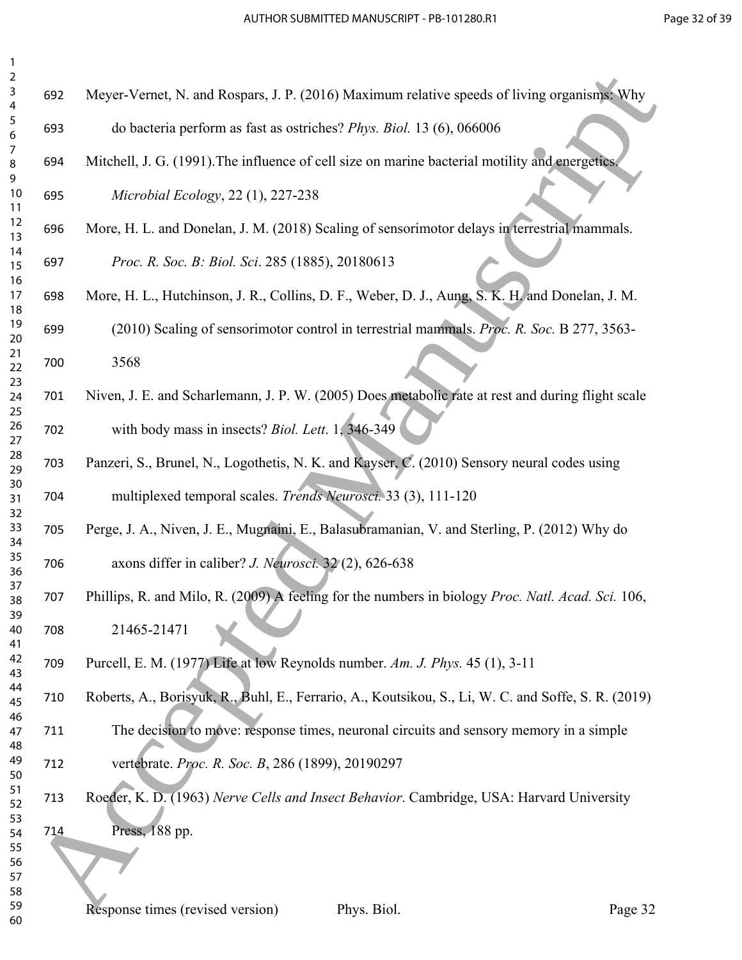| $\overline{2}$<br>$\mathsf{3}$    | 692 | Meyer-Vernet, N. and Rospars, J. P. (2016) Maximum relative speeds of living organisms: Why         |
|-----------------------------------|-----|-----------------------------------------------------------------------------------------------------|
| $\overline{4}$<br>$\sqrt{5}$<br>6 | 693 | do bacteria perform as fast as ostriches? Phys. Biol. 13 (6), 066006                                |
| $\overline{7}$<br>8               | 694 | Mitchell, J. G. (1991). The influence of cell size on marine bacterial motility and energetics.     |
| 9<br>10<br>11                     | 695 | Microbial Ecology, 22 (1), 227-238                                                                  |
| 12<br>13                          | 696 | More, H. L. and Donelan, J. M. (2018) Scaling of sensorimotor delays in terrestrial mammals.        |
| 14<br>15<br>16                    | 697 | Proc. R. Soc. B: Biol. Sci. 285 (1885), 20180613                                                    |
| 17<br>18                          | 698 | More, H. L., Hutchinson, J. R., Collins, D. F., Weber, D. J., Aung, S. K. H. and Donelan, J. M.     |
| 19<br>20                          | 699 | (2010) Scaling of sensorimotor control in terrestrial mammals. Proc. R. Soc. B 277, 3563-           |
| 21<br>22<br>23                    | 700 | 3568                                                                                                |
| 24<br>25                          | 701 | Niven, J. E. and Scharlemann, J. P. W. (2005) Does metabolic rate at rest and during flight scale   |
| 26<br>27                          | 702 | with body mass in insects? Biol. Lett. 1, 346-349                                                   |
| 28<br>29<br>30                    | 703 | Panzeri, S., Brunel, N., Logothetis, N. K. and Kayser, C. (2010) Sensory neural codes using         |
| 31<br>32                          | 704 | multiplexed temporal scales. Trends Neurosci. 33 (3), 111-120                                       |
| 33<br>34                          | 705 | Perge, J. A., Niven, J. E., Mugnaini, E., Balasubramanian, V. and Sterling, P. (2012) Why do        |
| 35<br>36<br>37                    | 706 | axons differ in caliber? J. Neurosci. 32 (2), 626-638                                               |
| 38<br>39                          | 707 | Phillips, R. and Milo, R. (2009) A feeling for the numbers in biology Proc. Natl. Acad. Sci. 106,   |
| 40<br>41                          | 708 | 21465-21471                                                                                         |
| 42<br>43<br>44                    | 709 | Purcell, E. M. (1977) Life at low Reynolds number. Am. J. Phys. 45 (1), 3-11                        |
| 45<br>46                          | 710 | Roberts, A., Borisyuk, R., Buhl, E., Ferrario, A., Koutsikou, S., Li, W. C. and Soffe, S. R. (2019) |
| 47<br>48                          | 711 | The decision to move: response times, neuronal circuits and sensory memory in a simple              |
| 49<br>50<br>51                    | 712 | vertebrate. Proc. R. Soc. B, 286 (1899), 20190297                                                   |
| 52<br>53                          | 713 | Roeder, K. D. (1963) Nerve Cells and Insect Behavior. Cambridge, USA: Harvard University            |
| 54<br>55                          | 714 | Press, 188 pp.                                                                                      |
| 56<br>57<br>58                    |     |                                                                                                     |
| 59<br>60                          |     | Response times (revised version)<br>Phys. Biol.<br>Page 32                                          |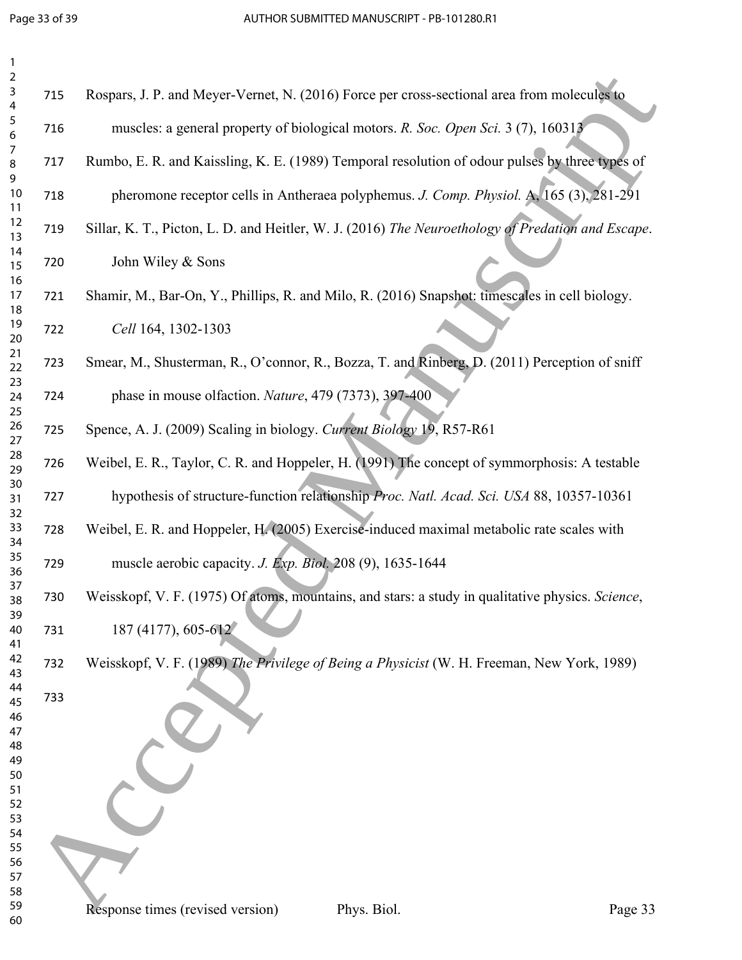| $\mathbf{1}$<br>$\overline{2}$ |     |                                                                                                                         |
|--------------------------------|-----|-------------------------------------------------------------------------------------------------------------------------|
| 3<br>4                         | 715 | Rospars, J. P. and Meyer-Vernet, N. (2016) Force per cross-sectional area from molecules to                             |
| 5<br>$\boldsymbol{6}$          | 716 | muscles: a general property of biological motors. R. Soc. Open Sci. 3 (7), 160313                                       |
| 7<br>8<br>9                    | 717 | Rumbo, E. R. and Kaissling, K. E. (1989) Temporal resolution of odour pulses by three types of                          |
| 10<br>11                       | 718 | pheromone receptor cells in Antheraea polyphemus. J. Comp. Physiol. A, 165 (3), 281-291                                 |
| 12<br>13                       | 719 | Sillar, K. T., Picton, L. D. and Heitler, W. J. (2016) The Neuroethology of Predation and Escape.                       |
| 14<br>15<br>16                 | 720 | John Wiley & Sons                                                                                                       |
| 17<br>18                       | 721 | Shamir, M., Bar-On, Y., Phillips, R. and Milo, R. (2016) Snapshot: timescales in cell biology.                          |
| 19<br>20<br>21                 | 722 | Cell 164, 1302-1303                                                                                                     |
| 22<br>23                       | 723 | Smear, M., Shusterman, R., O'connor, R., Bozza, T. and Rinberg, D. (2011) Perception of sniff                           |
| 24<br>25                       | 724 | phase in mouse olfaction. Nature, 479 (7373), 397-400                                                                   |
| 26<br>27<br>28                 | 725 | Spence, A. J. (2009) Scaling in biology. Current Biology 19, R57-R61                                                    |
| 29<br>30                       | 726 | Weibel, E. R., Taylor, C. R. and Hoppeler, H. (1991) The concept of symmorphosis: A testable                            |
| 31<br>32                       | 727 | hypothesis of structure-function relationship Proc. Natl. Acad. Sci. USA 88, 10357-10361                                |
| 33<br>34<br>35                 | 728 | Weibel, E. R. and Hoppeler, H. (2005) Exercise-induced maximal metabolic rate scales with                               |
| 36<br>37                       | 729 | muscle aerobic capacity. J. Exp. Biol. 208 (9), 1635-1644                                                               |
| 38<br>39                       | 730 | Weisskopf, V. F. (1975) Of atoms, mountains, and stars: a study in qualitative physics. Science,<br>187 (4177), 605-612 |
| 40<br>41<br>42                 | 731 |                                                                                                                         |
| 43<br>44                       | 732 | Weisskopf, V. F. (1989) The Privilege of Being a Physicist (W. H. Freeman, New York, 1989)                              |
| 45<br>46                       | 733 |                                                                                                                         |
| 47<br>48<br>49                 |     |                                                                                                                         |
| 50<br>51                       |     |                                                                                                                         |
| 52<br>53<br>54                 |     |                                                                                                                         |
| 55<br>56                       |     |                                                                                                                         |
| 57<br>58                       |     |                                                                                                                         |
| 59<br>60                       |     | Response times (revised version)<br>Phys. Biol.<br>Page 33                                                              |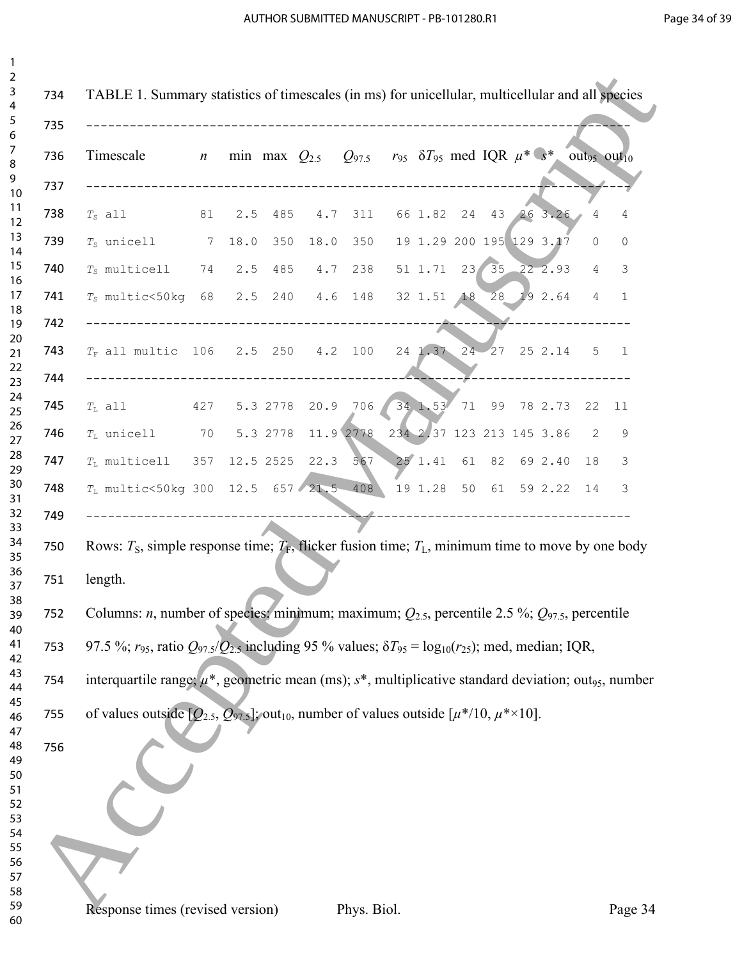| Timescale                                                                                                                  | $\boldsymbol{n}$ |      |          | min max $Q_{2.5}$ $Q_{97.5}$ $r_{95}$ $\delta T_{95}$ med IQR $\mu^*$ s <sup>*</sup> out <sub>95</sub> out <sub>10</sub> |           |                   |    |                           |                |
|----------------------------------------------------------------------------------------------------------------------------|------------------|------|----------|--------------------------------------------------------------------------------------------------------------------------|-----------|-------------------|----|---------------------------|----------------|
| $T_S$ all                                                                                                                  | 81               | 2.5  | 485      | 4.7 311                                                                                                                  |           | 66 1.82 24        |    | 43 26 3.26                | $\overline{4}$ |
| $T_S$ unicell                                                                                                              | $\overline{7}$   | 18.0 | 350      |                                                                                                                          | 18.0 350  |                   |    | 19 1.29 200 195 129 3.17  | $\Omega$       |
| $T_S$ multicell $74$                                                                                                       |                  | 2.5  |          | 485 4.7 238                                                                                                              |           | $51 \t1.71 \t23/$ | 35 | 22, 2.93                  | 4              |
| $T_S$ multic<50kg 68 2.5 240 4.6 148 32 1.51 18                                                                            |                  |      |          |                                                                                                                          |           |                   |    | 28 19 2.64                | 4              |
| $T_F$ all multic 106 2.5 250 4.2 100<br>-----------------------------------                                                |                  |      |          |                                                                                                                          |           |                   |    | 24 1.37 24 27 25 2.14     | 5              |
| $T_{\text{L}}$ all $427$                                                                                                   |                  |      |          | 5.3 2778 20.9 706                                                                                                        |           |                   |    | 34 1.53 71 99 78 2.73 22  |                |
| $T_{\text{L}}$ unicell $70$                                                                                                |                  |      | 5.3 2778 |                                                                                                                          | 11.9 2778 |                   |    | 234 2.37 123 213 145 3.86 | 2              |
| $T_{\text{L}}$ multicell 357 12.5 2525                                                                                     |                  |      |          | 22.3                                                                                                                     | 567       |                   |    | 25 1.41 61 82 69 2.40     | 18             |
| $T_L$ multic<50kg 300 12.5 657 21.5 408 19 1.28 50 61 59 2.22 14                                                           |                  |      |          |                                                                                                                          |           |                   |    |                           |                |
| Rows: $T_s$ , simple response time; $T_F$ , flicker fusion time; $T_L$ , minimum time to move by one body                  |                  |      |          |                                                                                                                          |           |                   |    |                           |                |
| length.                                                                                                                    |                  |      |          |                                                                                                                          |           |                   |    |                           |                |
| Columns: <i>n</i> , number of species; minimum; maximum; $Q_{2.5}$ , percentile 2.5 %; $Q_{97.5}$ , percentile             |                  |      |          |                                                                                                                          |           |                   |    |                           |                |
| 97.5 %; $r_{95}$ , ratio $Q_{97.5}/Q_{2.5}$ including 95 % values; $\delta T_{95} = \log_{10}(r_{25})$ ; med, median; IQR, |                  |      |          |                                                                                                                          |           |                   |    |                           |                |
| interquartile range; $\mu^*$ , geometric mean (ms); $s^*$ , multiplicative standard deviation; out <sub>95</sub> , number  |                  |      |          |                                                                                                                          |           |                   |    |                           |                |
| of values outside $[Q_{2.5}, Q_{97.5}]$ ; out <sub>10</sub> , number of values outside $[\mu^*/10, \mu^{*} \times 10]$ .   |                  |      |          |                                                                                                                          |           |                   |    |                           |                |
|                                                                                                                            |                  |      |          |                                                                                                                          |           |                   |    |                           |                |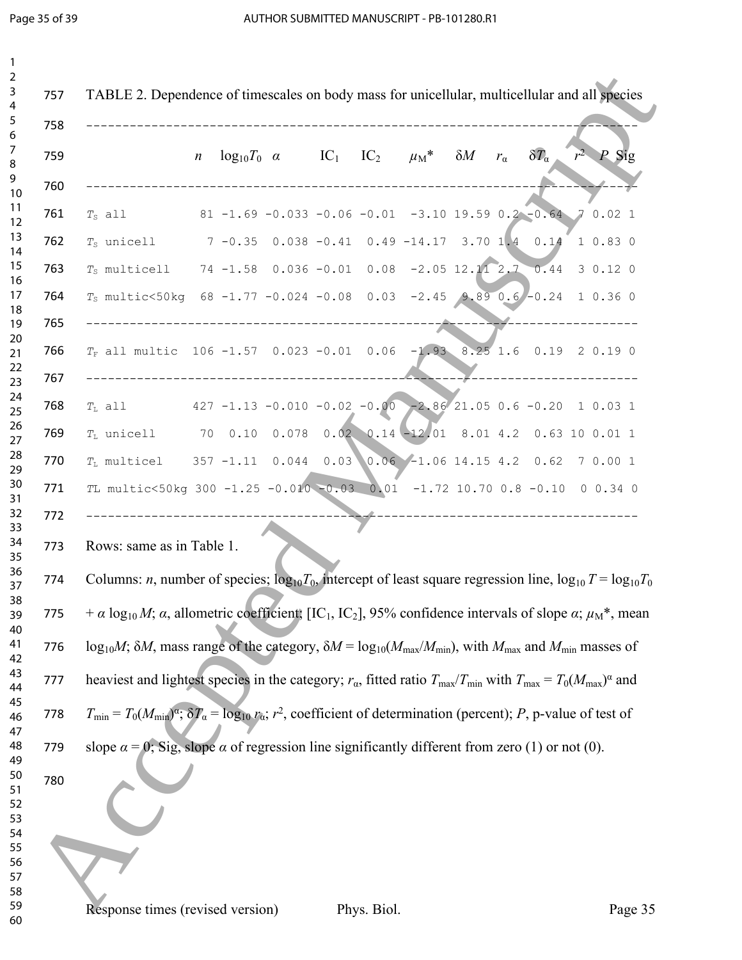|  |                                                                                                                                                                                    | $\boldsymbol{n}$ |  |  | $log_{10}T_0 \alpha$ IC <sub>1</sub> IC <sub>2</sub> $\mu_M^* \delta M$ $r_\alpha$ |  | $\delta T_a$        | $r^2$ <i>P</i> Sig |
|--|------------------------------------------------------------------------------------------------------------------------------------------------------------------------------------|------------------|--|--|------------------------------------------------------------------------------------|--|---------------------|--------------------|
|  | $T_S$ all                                                                                                                                                                          |                  |  |  | 81 -1.69 -0.033 -0.06 -0.01 -3.10 19.59 0.2 -0.64 7 0.02 1                         |  |                     |                    |
|  | $T_S$ unicell $7 -0.35$ 0.038 -0.41 0.49 -14.17 3.70 1.4 0.14 1 0.83 0                                                                                                             |                  |  |  |                                                                                    |  |                     |                    |
|  | $T_S$ multicell 74 -1.58 0.036 -0.01 0.08 -2.05 12.11 2.7 0.44 3 0.12 0                                                                                                            |                  |  |  |                                                                                    |  |                     |                    |
|  | $T_S$ multic<50kg 68 -1.77 -0.024 -0.08 0.03 -2.45 9.89 0.6 -0.24 1 0.36 0                                                                                                         |                  |  |  |                                                                                    |  |                     |                    |
|  | $T_F$ all multic 106 -1.57 0.023 -0.01 0.06 -1.93 8.25 1.6 0.19 2 0.19 0                                                                                                           |                  |  |  |                                                                                    |  | ___________________ |                    |
|  | $T_{\rm L}$ all $427 - 1.13 - 0.010 - 0.02 - 0.00 - 2.86/21.05 0.6 - 0.20 1 0.03 1$                                                                                                |                  |  |  |                                                                                    |  |                     |                    |
|  | $T_L$ unicell $70$ 0.10 0.078 0.02 0.14 -12.01 8.01 4.2 0.63 10 0.01 1                                                                                                             |                  |  |  |                                                                                    |  |                     |                    |
|  | $T_L$ multicel 357 -1.11 0.044 0.03 0.06 -1.06 14.15 4.2 0.62 7 0.00 1                                                                                                             |                  |  |  |                                                                                    |  |                     |                    |
|  | TL multic<50kg 300 -1.25 -0.010 -0.03 0.01 -1.72 10.70 0.8 -0.10 0 0.34 0                                                                                                          |                  |  |  |                                                                                    |  |                     |                    |
|  | Rows: same as in Table 1.<br>Columns: <i>n</i> , number of species; $log_{10}T_0$ , intercept of least square regression line, $log_{10}T = log_{10}T_0$                           |                  |  |  |                                                                                    |  |                     |                    |
|  | + $\alpha$ log <sub>10</sub> $M$ ; $\alpha$ , allometric coefficient; [IC <sub>1</sub> , IC <sub>2</sub> ], 95% confidence intervals of slope $\alpha$ ; $\mu_M^*$ , mean          |                  |  |  |                                                                                    |  |                     |                    |
|  | log <sub>10</sub> <i>M</i> ; $\delta M$ , mass range of the category, $\delta M = \log_{10}(M_{\text{max}}/M_{\text{min}})$ , with $M_{\text{max}}$ and $M_{\text{min}}$ masses of |                  |  |  |                                                                                    |  |                     |                    |
|  | heaviest and lightest species in the category; $r_{\alpha}$ , fitted ratio $T_{\text{max}}/T_{\text{min}}$ with $T_{\text{max}} = T_0(M_{\text{max}})^{\alpha}$ and                |                  |  |  |                                                                                    |  |                     |                    |
|  | $T_{\min} = T_0(M_{\min})^{\alpha}$ ; $\delta T_{\alpha} = \log_{10} r_{\alpha}$ ; $r^2$ , coefficient of determination (percent); P, p-value of test of                           |                  |  |  |                                                                                    |  |                     |                    |
|  | slope $\alpha = 0$ ; Sig, slope $\alpha$ of regression line significantly different from zero (1) or not (0).                                                                      |                  |  |  |                                                                                    |  |                     |                    |
|  |                                                                                                                                                                                    |                  |  |  |                                                                                    |  |                     |                    |
|  |                                                                                                                                                                                    |                  |  |  |                                                                                    |  |                     |                    |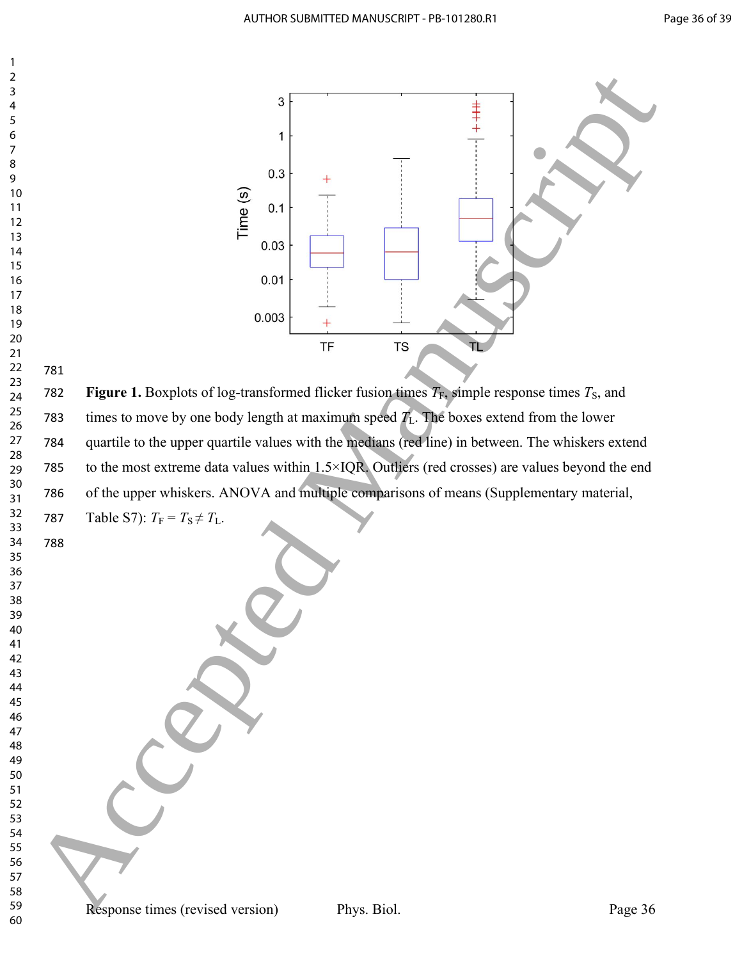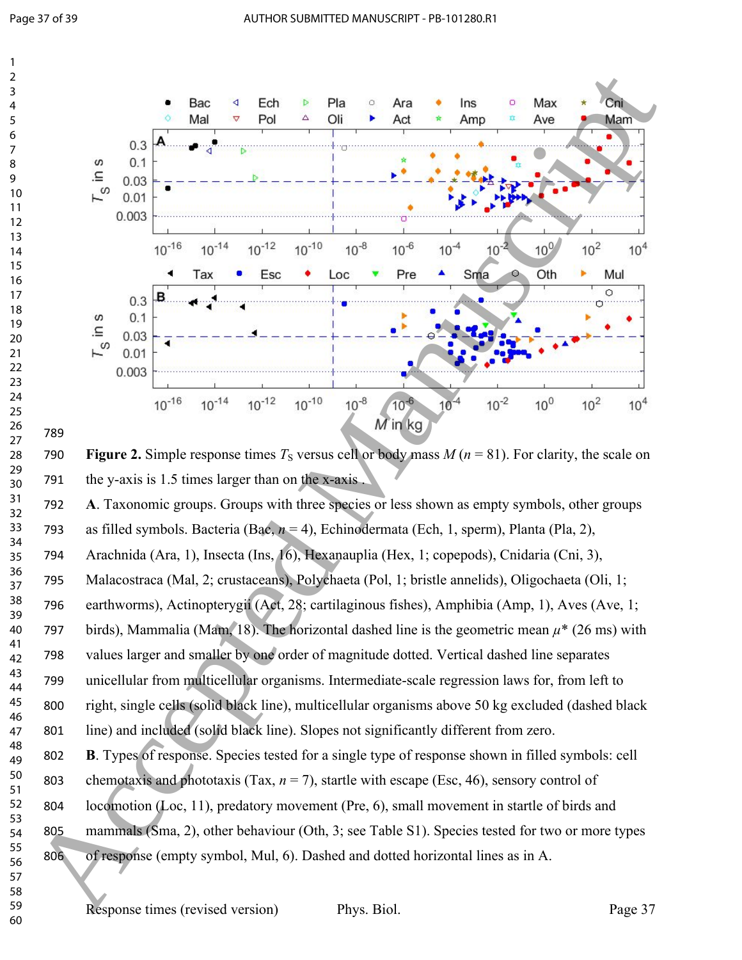

790 **Figure 2.** Simple response times  $T_s$  versus cell or body mass  $M(n = 81)$ . For clarity, the scale on the y-axis is 1.5 times larger than on the x-axis .

 **A**. Taxonomic groups. Groups with three species or less shown as empty symbols, other groups as filled symbols. Bacteria (Bac, *n* = 4), Echinodermata (Ech, 1, sperm), Planta (Pla, 2),

Arachnida (Ara, 1), Insecta (Ins, 16), Hexanauplia (Hex, 1; copepods), Cnidaria (Cni, 3),

Malacostraca (Mal, 2; crustaceans), Polychaeta (Pol, 1; bristle annelids), Oligochaeta (Oli, 1;

earthworms), Actinopterygii (Act, 28; cartilaginous fishes), Amphibia (Amp, 1), Aves (Ave, 1;

797 birds), Mammalia (Mam, 18). The horizontal dashed line is the geometric mean  $\mu^*$  (26 ms) with

values larger and smaller by one order of magnitude dotted. Vertical dashed line separates

 unicellular from multicellular organisms. Intermediate-scale regression laws for, from left to right, single cells (solid black line), multicellular organisms above 50 kg excluded (dashed black

line) and included (solid black line). Slopes not significantly different from zero.

 **B**. Types of response. Species tested for a single type of response shown in filled symbols: cell 803 chemotaxis and phototaxis (Tax,  $n = 7$ ), startle with escape (Esc, 46), sensory control of 804 locomotion (Loc, 11), predatory movement (Pre, 6), small movement in startle of birds and 805 mammals (Sma, 2), other behaviour (Oth, 3; see Table S1). Species tested for two or more types of response (empty symbol, Mul, 6). Dashed and dotted horizontal lines as in A.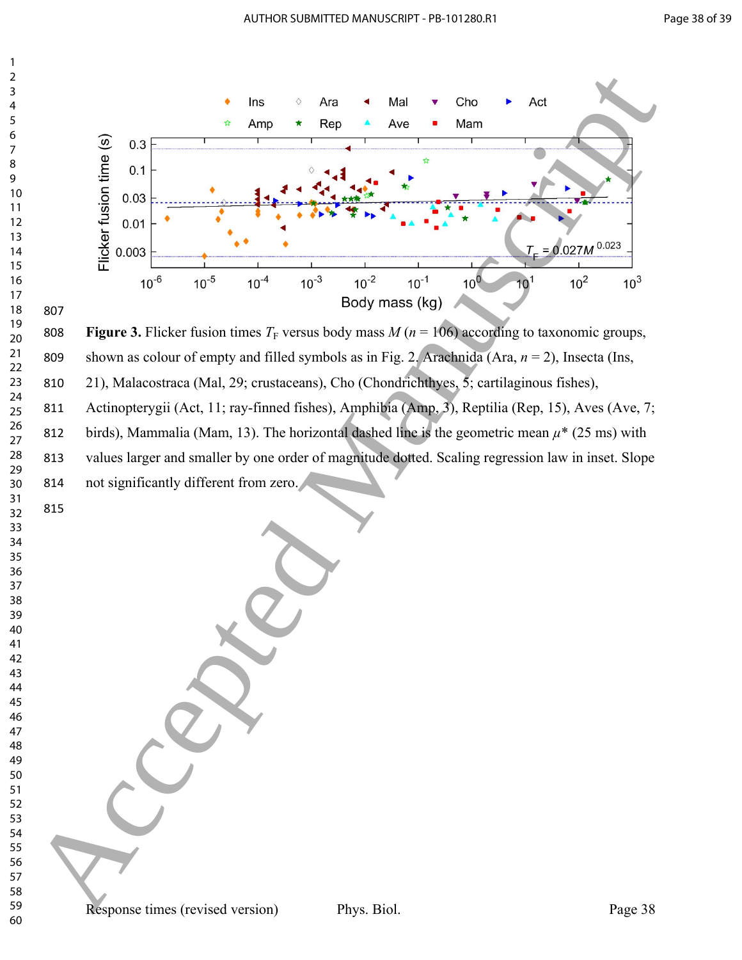